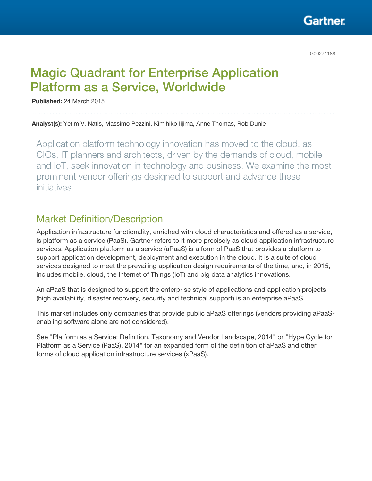Gartner

G00271188

# Magic Quadrant for Enterprise Application Platform as a Service, Worldwide

Published: 24 March 2015

Analyst(s): Yefim V. Natis, Massimo Pezzini, Kimihiko Iijima, Anne Thomas, Rob Dunie

Application platform technology innovation has moved to the cloud, as CIOs, IT planners and architects, driven by the demands of cloud, mobile and IoT, seek innovation in technology and business. We examine the most prominent vendor offerings designed to support and advance these initiatives.

# Market Definition/Description

Application infrastructure functionality, enriched with cloud characteristics and offered as a service, is platform as a service (PaaS). Gartner refers to it more precisely as cloud application infrastructure services. Application platform as a service (aPaaS) is a form of PaaS that provides a platform to support application development, deployment and execution in the cloud. It is a suite of cloud services designed to meet the prevailing application design requirements of the time, and, in 2015, includes mobile, cloud, the Internet of Things (IoT) and big data analytics innovations.

An aPaaS that is designed to support the enterprise style of applications and application projects (high availability, disaster recovery, security and technical support) is an enterprise aPaaS.

This market includes only companies that provide public aPaaS offerings (vendors providing aPaaSenabling software alone are not considered).

See "Platform as a Service: Definition, Taxonomy and Vendor Landscape, 2014" or "Hype Cycle for Platform as a Service (PaaS), 2014" for an expanded form of the definition of aPaaS and other forms of cloud application infrastructure services (xPaaS).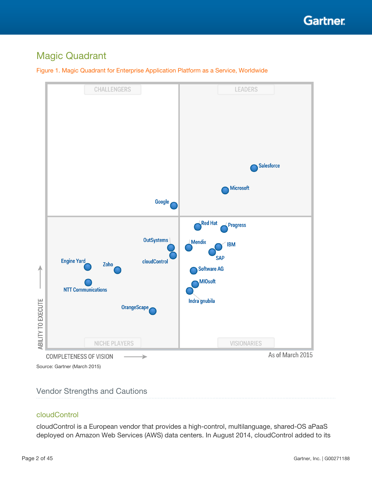

# Magic Quadrant





## Vendor Strengths and Cautions

#### cloudControl

cloudControl is a European vendor that provides a high-control, multilanguage, shared-OS aPaaS deployed on Amazon Web Services (AWS) data centers. In August 2014, cloudControl added to its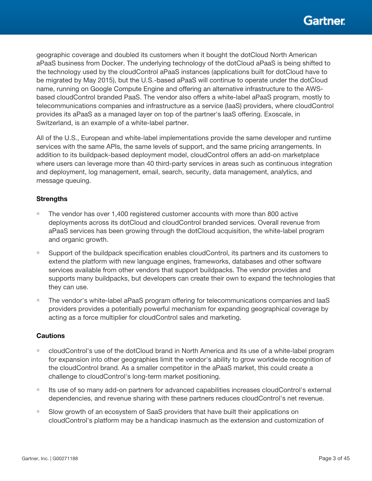geographic coverage and doubled its customers when it bought the dotCloud North American aPaaS business from Docker. The underlying technology of the dotCloud aPaaS is being shifted to the technology used by the cloudControl aPaaS instances (applications built for dotCloud have to be migrated by May 2015), but the U.S.-based aPaaS will continue to operate under the dotCloud name, running on Google Compute Engine and offering an alternative infrastructure to the AWSbased cloudControl branded PaaS. The vendor also offers a white-label aPaaS program, mostly to telecommunications companies and infrastructure as a service (IaaS) providers, where cloudControl provides its aPaaS as a managed layer on top of the partner's IaaS offering. Exoscale, in Switzerland, is an example of a white-label partner.

All of the U.S., European and white-label implementations provide the same developer and runtime services with the same APIs, the same levels of support, and the same pricing arrangements. In addition to its buildpack-based deployment model, cloudControl offers an add-on marketplace where users can leverage more than 40 third-party services in areas such as continuous integration and deployment, log management, email, search, security, data management, analytics, and message queuing.

## **Strengths**

- The vendor has over 1,400 registered customer accounts with more than 800 active deployments across its dotCloud and cloudControl branded services. Overall revenue from aPaaS services has been growing through the dotCloud acquisition, the white-label program and organic growth.
- Support of the buildpack specification enables cloudControl, its partners and its customers to extend the platform with new language engines, frameworks, databases and other software services available from other vendors that support buildpacks. The vendor provides and supports many buildpacks, but developers can create their own to expand the technologies that they can use.
- The vendor's white-label aPaaS program offering for telecommunications companies and laaS providers provides a potentially powerful mechanism for expanding geographical coverage by acting as a force multiplier for cloudControl sales and marketing.

- cloudControl's use of the dotCloud brand in North America and its use of a white-label program for expansion into other geographies limit the vendor's ability to grow worldwide recognition of the cloudControl brand. As a smaller competitor in the aPaaS market, this could create a challenge to cloudControl's long-term market positioning.
- Its use of so many add-on partners for advanced capabilities increases cloudControl's external dependencies, and revenue sharing with these partners reduces cloudControl's net revenue.
- Slow growth of an ecosystem of SaaS providers that have built their applications on cloudControl's platform may be a handicap inasmuch as the extension and customization of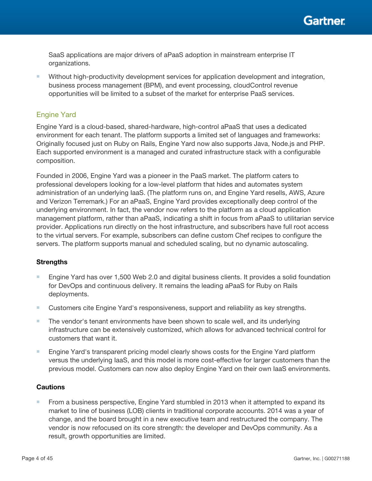

SaaS applications are major drivers of aPaaS adoption in mainstream enterprise IT organizations.

■ Without high-productivity development services for application development and integration, business process management (BPM), and event processing, cloudControl revenue opportunities will be limited to a subset of the market for enterprise PaaS services.

## Engine Yard

Engine Yard is a cloud-based, shared-hardware, high-control aPaaS that uses a dedicated environment for each tenant. The platform supports a limited set of languages and frameworks: Originally focused just on Ruby on Rails, Engine Yard now also supports Java, Node.js and PHP. Each supported environment is a managed and curated infrastructure stack with a configurable composition.

Founded in 2006, Engine Yard was a pioneer in the PaaS market. The platform caters to professional developers looking for a low-level platform that hides and automates system administration of an underlying IaaS. (The platform runs on, and Engine Yard resells, AWS, Azure and Verizon Terremark.) For an aPaaS, Engine Yard provides exceptionally deep control of the underlying environment. In fact, the vendor now refers to the platform as a cloud application management platform, rather than aPaaS, indicating a shift in focus from aPaaS to utilitarian service provider. Applications run directly on the host infrastructure, and subscribers have full root access to the virtual servers. For example, subscribers can define custom Chef recipes to configure the servers. The platform supports manual and scheduled scaling, but no dynamic autoscaling.

#### **Strengths**

- Engine Yard has over 1,500 Web 2.0 and digital business clients. It provides a solid foundation for DevOps and continuous delivery. It remains the leading aPaaS for Ruby on Rails deployments.
- Customers cite Engine Yard's responsiveness, support and reliability as key strengths.
- The vendor's tenant environments have been shown to scale well, and its underlying infrastructure can be extensively customized, which allows for advanced technical control for customers that want it.
- Engine Yard's transparent pricing model clearly shows costs for the Engine Yard platform versus the underlying IaaS, and this model is more cost-effective for larger customers than the previous model. Customers can now also deploy Engine Yard on their own IaaS environments.

#### **Cautions**

■ From a business perspective, Engine Yard stumbled in 2013 when it attempted to expand its market to line of business (LOB) clients in traditional corporate accounts. 2014 was a year of change, and the board brought in a new executive team and restructured the company. The vendor is now refocused on its core strength: the developer and DevOps community. As a result, growth opportunities are limited.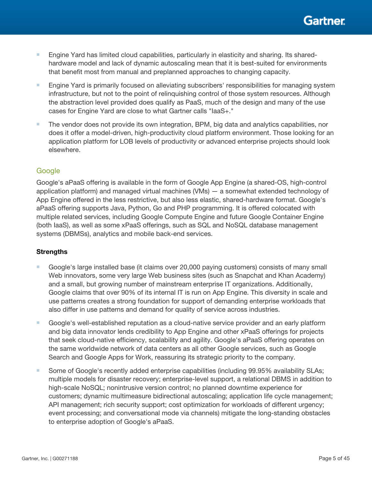

- Engine Yard has limited cloud capabilities, particularly in elasticity and sharing. Its sharedhardware model and lack of dynamic autoscaling mean that it is best-suited for environments that benefit most from manual and preplanned approaches to changing capacity.
- Engine Yard is primarily focused on alleviating subscribers' responsibilities for managing system infrastructure, but not to the point of relinquishing control of those system resources. Although the abstraction level provided does qualify as PaaS, much of the design and many of the use cases for Engine Yard are close to what Gartner calls "IaaS+."
- The vendor does not provide its own integration, BPM, big data and analytics capabilities, nor does it offer a model-driven, high-productivity cloud platform environment. Those looking for an application platform for LOB levels of productivity or advanced enterprise projects should look elsewhere.

## Google

Google's aPaaS offering is available in the form of Google App Engine (a shared-OS, high-control application platform) and managed virtual machines (VMs) — a somewhat extended technology of App Engine offered in the less restrictive, but also less elastic, shared-hardware format. Google's aPaaS offering supports Java, Python, Go and PHP programming. It is offered colocated with multiple related services, including Google Compute Engine and future Google Container Engine (both IaaS), as well as some xPaaS offerings, such as SQL and NoSQL database management systems (DBMSs), analytics and mobile back-end services.

#### **Strengths**

- Google's large installed base (it claims over 20,000 paying customers) consists of many small Web innovators, some very large Web business sites (such as Snapchat and Khan Academy) and a small, but growing number of mainstream enterprise IT organizations. Additionally, Google claims that over 90% of its internal IT is run on App Engine. This diversity in scale and use patterns creates a strong foundation for support of demanding enterprise workloads that also differ in use patterns and demand for quality of service across industries.
- Google's well-established reputation as a cloud-native service provider and an early platform and big data innovator lends credibility to App Engine and other xPaaS offerings for projects that seek cloud-native efficiency, scalability and agility. Google's aPaaS offering operates on the same worldwide network of data centers as all other Google services, such as Google Search and Google Apps for Work, reassuring its strategic priority to the company.
- Some of Google's recently added enterprise capabilities (including 99.95% availability SLAs; multiple models for disaster recovery; enterprise-level support, a relational DBMS in addition to high-scale NoSQL; nonintrusive version control; no planned downtime experience for customers; dynamic multimeasure bidirectional autoscaling; application life cycle management; API management; rich security support; cost optimization for workloads of different urgency; event processing; and conversational mode via channels) mitigate the long-standing obstacles to enterprise adoption of Google's aPaaS.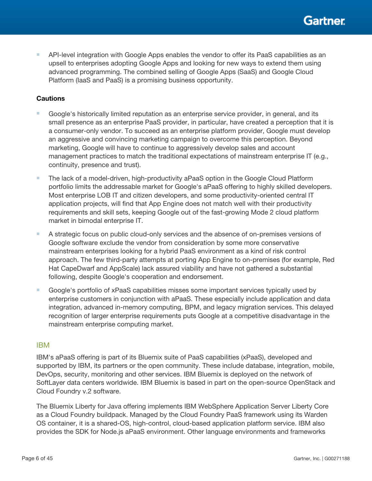

■ API-level integration with Google Apps enables the vendor to offer its PaaS capabilities as an upsell to enterprises adopting Google Apps and looking for new ways to extend them using advanced programming. The combined selling of Google Apps (SaaS) and Google Cloud Platform (IaaS and PaaS) is a promising business opportunity.

#### **Cautions**

- Google's historically limited reputation as an enterprise service provider, in general, and its small presence as an enterprise PaaS provider, in particular, have created a perception that it is a consumer-only vendor. To succeed as an enterprise platform provider, Google must develop an aggressive and convincing marketing campaign to overcome this perception. Beyond marketing, Google will have to continue to aggressively develop sales and account management practices to match the traditional expectations of mainstream enterprise IT (e.g., continuity, presence and trust).
- The lack of a model-driven, high-productivity aPaaS option in the Google Cloud Platform portfolio limits the addressable market for Google's aPaaS offering to highly skilled developers. Most enterprise LOB IT and citizen developers, and some productivity-oriented central IT application projects, will find that App Engine does not match well with their productivity requirements and skill sets, keeping Google out of the fast-growing Mode 2 cloud platform market in bimodal enterprise IT.
- A strategic focus on public cloud-only services and the absence of on-premises versions of Google software exclude the vendor from consideration by some more conservative mainstream enterprises looking for a hybrid PaaS environment as a kind of risk control approach. The few third-party attempts at porting App Engine to on-premises (for example, Red Hat CapeDwarf and AppScale) lack assured viability and have not gathered a substantial following, despite Google's cooperation and endorsement.
- Google's portfolio of xPaaS capabilities misses some important services typically used by enterprise customers in conjunction with aPaaS. These especially include application and data integration, advanced in-memory computing, BPM, and legacy migration services. This delayed recognition of larger enterprise requirements puts Google at a competitive disadvantage in the mainstream enterprise computing market.

#### IBM

IBM's aPaaS offering is part of its Bluemix suite of PaaS capabilities (xPaaS), developed and supported by IBM, its partners or the open community. These include database, integration, mobile, DevOps, security, monitoring and other services. IBM Bluemix is deployed on the network of SoftLayer data centers worldwide. IBM Bluemix is based in part on the open-source OpenStack and Cloud Foundry v.2 software.

The Bluemix Liberty for Java offering implements IBM WebSphere Application Server Liberty Core as a Cloud Foundry buildpack. Managed by the Cloud Foundry PaaS framework using its Warden OS container, it is a shared-OS, high-control, cloud-based application platform service. IBM also provides the SDK for Node.js aPaaS environment. Other language environments and frameworks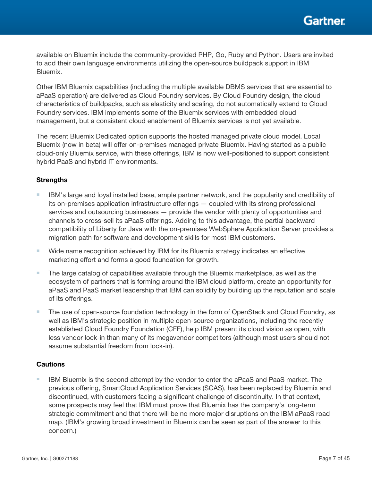available on Bluemix include the community-provided PHP, Go, Ruby and Python. Users are invited to add their own language environments utilizing the open-source buildpack support in IBM Bluemix.

Other IBM Bluemix capabilities (including the multiple available DBMS services that are essential to aPaaS operation) are delivered as Cloud Foundry services. By Cloud Foundry design, the cloud characteristics of buildpacks, such as elasticity and scaling, do not automatically extend to Cloud Foundry services. IBM implements some of the Bluemix services with embedded cloud management, but a consistent cloud enablement of Bluemix services is not yet available.

The recent Bluemix Dedicated option supports the hosted managed private cloud model. Local Bluemix (now in beta) will offer on-premises managed private Bluemix. Having started as a public cloud-only Bluemix service, with these offerings, IBM is now well-positioned to support consistent hybrid PaaS and hybrid IT environments.

## **Strengths**

- IBM's large and loyal installed base, ample partner network, and the popularity and credibility of its on-premises application infrastructure offerings — coupled with its strong professional services and outsourcing businesses — provide the vendor with plenty of opportunities and channels to cross-sell its aPaaS offerings. Adding to this advantage, the partial backward compatibility of Liberty for Java with the on-premises WebSphere Application Server provides a migration path for software and development skills for most IBM customers.
- Wide name recognition achieved by IBM for its Bluemix strategy indicates an effective marketing effort and forms a good foundation for growth.
- The large catalog of capabilities available through the Bluemix marketplace, as well as the ecosystem of partners that is forming around the IBM cloud platform, create an opportunity for aPaaS and PaaS market leadership that IBM can solidify by building up the reputation and scale of its offerings.
- The use of open-source foundation technology in the form of OpenStack and Cloud Foundry, as well as IBM's strategic position in multiple open-source organizations, including the recently established Cloud Foundry Foundation (CFF), help IBM present its cloud vision as open, with less vendor lock-in than many of its megavendor competitors (although most users should not assume substantial freedom from lock-in).

#### **Cautions**

■ IBM Bluemix is the second attempt by the vendor to enter the aPaaS and PaaS market. The previous offering, SmartCloud Application Services (SCAS), has been replaced by Bluemix and discontinued, with customers facing a significant challenge of discontinuity. In that context, some prospects may feel that IBM must prove that Bluemix has the company's long-term strategic commitment and that there will be no more major disruptions on the IBM aPaaS road map. (IBM's growing broad investment in Bluemix can be seen as part of the answer to this concern.)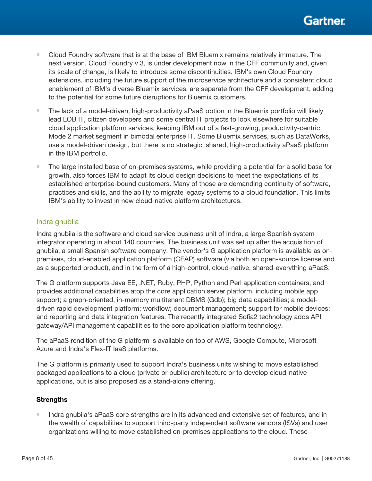- Cloud Foundry software that is at the base of IBM Bluemix remains relatively immature. The next version, Cloud Foundry v.3, is under development now in the CFF community and, given its scale of change, is likely to introduce some discontinuities. IBM's own Cloud Foundry extensions, including the future support of the microservice architecture and a consistent cloud enablement of IBM's diverse Bluemix services, are separate from the CFF development, adding to the potential for some future disruptions for Bluemix customers.
- The lack of a model-driven, high-productivity aPaaS option in the Bluemix portfolio will likely lead LOB IT, citizen developers and some central IT projects to look elsewhere for suitable cloud application platform services, keeping IBM out of a fast-growing, productivity-centric Mode 2 market segment in bimodal enterprise IT. Some Bluemix services, such as DataWorks, use a model-driven design, but there is no strategic, shared, high-productivity aPaaS platform in the IBM portfolio.
- The large installed base of on-premises systems, while providing a potential for a solid base for growth, also forces IBM to adapt its cloud design decisions to meet the expectations of its established enterprise-bound customers. Many of those are demanding continuity of software, practices and skills, and the ability to migrate legacy systems to a cloud foundation. This limits IBM's ability to invest in new cloud-native platform architectures.

## Indra gnubila

Indra gnubila is the software and cloud service business unit of Indra, a large Spanish system integrator operating in about 140 countries. The business unit was set up after the acquisition of gnubila, a small Spanish software company. The vendor's G application platform is available as onpremises, cloud-enabled application platform (CEAP) software (via both an open-source license and as a supported product), and in the form of a high-control, cloud-native, shared-everything aPaaS.

The G platform supports Java EE, .NET, Ruby, PHP, Python and Perl application containers, and provides additional capabilities atop the core application server platform, including mobile app support; a graph-oriented, in-memory multitenant DBMS (Gdb); big data capabilities; a modeldriven rapid development platform; workflow; document management; support for mobile devices; and reporting and data integration features. The recently integrated Sofia2 technology adds API gateway/API management capabilities to the core application platform technology.

The aPaaS rendition of the G platform is available on top of AWS, Google Compute, Microsoft Azure and Indra's Flex-IT IaaS platforms.

The G platform is primarily used to support Indra's business units wishing to move established packaged applications to a cloud (private or public) architecture or to develop cloud-native applications, but is also proposed as a stand-alone offering.

## **Strengths**

■ Indra gnubila's aPaaS core strengths are in its advanced and extensive set of features, and in the wealth of capabilities to support third-party independent software vendors (ISVs) and user organizations willing to move established on-premises applications to the cloud. These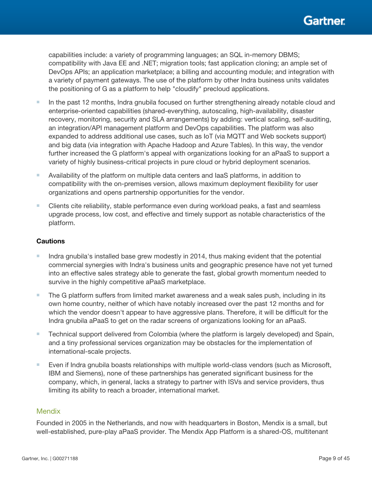capabilities include: a variety of programming languages; an SQL in-memory DBMS; compatibility with Java EE and .NET; migration tools; fast application cloning; an ample set of DevOps APIs; an application marketplace; a billing and accounting module; and integration with a variety of payment gateways. The use of the platform by other Indra business units validates the positioning of G as a platform to help "cloudify" precloud applications.

- In the past 12 months, Indra gnubila focused on further strengthening already notable cloud and enterprise-oriented capabilities (shared-everything, autoscaling, high-availability, disaster recovery, monitoring, security and SLA arrangements) by adding: vertical scaling, self-auditing, an integration/API management platform and DevOps capabilities. The platform was also expanded to address additional use cases, such as IoT (via MQTT and Web sockets support) and big data (via integration with Apache Hadoop and Azure Tables). In this way, the vendor further increased the G platform's appeal with organizations looking for an aPaaS to support a variety of highly business-critical projects in pure cloud or hybrid deployment scenarios.
- Availability of the platform on multiple data centers and laaS platforms, in addition to compatibility with the on-premises version, allows maximum deployment flexibility for user organizations and opens partnership opportunities for the vendor.
- Clients cite reliability, stable performance even during workload peaks, a fast and seamless upgrade process, low cost, and effective and timely support as notable characteristics of the platform.

## **Cautions**

- Indra gnubila's installed base grew modestly in 2014, thus making evident that the potential commercial synergies with Indra's business units and geographic presence have not yet turned into an effective sales strategy able to generate the fast, global growth momentum needed to survive in the highly competitive aPaaS marketplace.
- The G platform suffers from limited market awareness and a weak sales push, including in its own home country, neither of which have notably increased over the past 12 months and for which the vendor doesn't appear to have aggressive plans. Therefore, it will be difficult for the Indra gnubila aPaaS to get on the radar screens of organizations looking for an aPaaS.
- Technical support delivered from Colombia (where the platform is largely developed) and Spain, and a tiny professional services organization may be obstacles for the implementation of international-scale projects.
- Even if Indra gnubila boasts relationships with multiple world-class vendors (such as Microsoft, IBM and Siemens), none of these partnerships has generated significant business for the company, which, in general, lacks a strategy to partner with ISVs and service providers, thus limiting its ability to reach a broader, international market.

#### **Mendix**

Founded in 2005 in the Netherlands, and now with headquarters in Boston, Mendix is a small, but well-established, pure-play aPaaS provider. The Mendix App Platform is a shared-OS, multitenant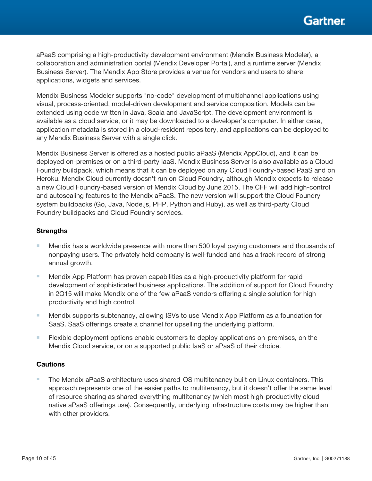

aPaaS comprising a high-productivity development environment (Mendix Business Modeler), a collaboration and administration portal (Mendix Developer Portal), and a runtime server (Mendix Business Server). The Mendix App Store provides a venue for vendors and users to share applications, widgets and services.

Mendix Business Modeler supports "no-code" development of multichannel applications using visual, process-oriented, model-driven development and service composition. Models can be extended using code written in Java, Scala and JavaScript. The development environment is available as a cloud service, or it may be downloaded to a developer's computer. In either case, application metadata is stored in a cloud-resident repository, and applications can be deployed to any Mendix Business Server with a single click.

Mendix Business Server is offered as a hosted public aPaaS (Mendix AppCloud), and it can be deployed on-premises or on a third-party IaaS. Mendix Business Server is also available as a Cloud Foundry buildpack, which means that it can be deployed on any Cloud Foundry-based PaaS and on Heroku. Mendix Cloud currently doesn't run on Cloud Foundry, although Mendix expects to release a new Cloud Foundry-based version of Mendix Cloud by June 2015. The CFF will add high-control and autoscaling features to the Mendix aPaaS. The new version will support the Cloud Foundry system buildpacks (Go, Java, Node.js, PHP, Python and Ruby), as well as third-party Cloud Foundry buildpacks and Cloud Foundry services.

#### **Strengths**

- Mendix has a worldwide presence with more than 500 loyal paying customers and thousands of nonpaying users. The privately held company is well-funded and has a track record of strong annual growth.
- Mendix App Platform has proven capabilities as a high-productivity platform for rapid development of sophisticated business applications. The addition of support for Cloud Foundry in 2Q15 will make Mendix one of the few aPaaS vendors offering a single solution for high productivity and high control.
- Mendix supports subtenancy, allowing ISVs to use Mendix App Platform as a foundation for SaaS. SaaS offerings create a channel for upselling the underlying platform.
- Flexible deployment options enable customers to deploy applications on-premises, on the Mendix Cloud service, or on a supported public IaaS or aPaaS of their choice.

#### **Cautions**

■ The Mendix aPaaS architecture uses shared-OS multitenancy built on Linux containers. This approach represents one of the easier paths to multitenancy, but it doesn't offer the same level of resource sharing as shared-everything multitenancy (which most high-productivity cloudnative aPaaS offerings use). Consequently, underlying infrastructure costs may be higher than with other providers.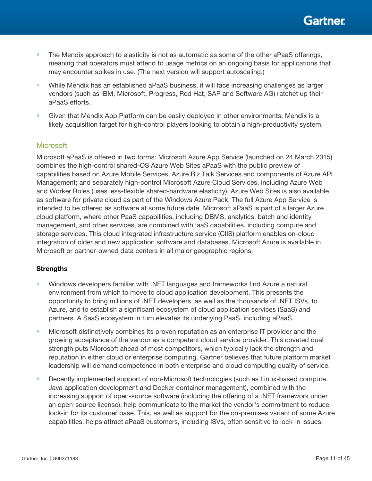

- The Mendix approach to elasticity is not as automatic as some of the other aPaaS offerings, meaning that operators must attend to usage metrics on an ongoing basis for applications that may encounter spikes in use. (The next version will support autoscaling.)
- While Mendix has an established aPaaS business, it will face increasing challenges as larger vendors (such as IBM, Microsoft, Progress, Red Hat, SAP and Software AG) ratchet up their aPaaS efforts.
- Given that Mendix App Platform can be easily deployed in other environments, Mendix is a likely acquisition target for high-control players looking to obtain a high-productivity system.

## **Microsoft**

Microsoft aPaaS is offered in two forms: Microsoft Azure App Service (launched on 24 March 2015) combines the high-control shared-OS Azure Web Sites aPaaS with the public preview of capabilities based on Azure Mobile Services, Azure Biz Talk Services and components of Azure API Management; and separately high-control Microsoft Azure Cloud Services, including Azure Web and Worker Roles (uses less-flexible shared-hardware elasticity). Azure Web Sites is also available as software for private cloud as part of the Windows Azure Pack. The full Azure App Service is intended to be offered as software at some future date. Microsoft aPaaS is part of a larger Azure cloud platform, where other PaaS capabilities, including DBMS, analytics, batch and identity management, and other services, are combined with IaaS capabilities, including compute and storage services. This cloud integrated infrastructure service (CIIS) platform enables on-cloud integration of older and new application software and databases. Microsoft Azure is available in Microsoft or partner-owned data centers in all major geographic regions.

#### **Strengths**

- Windows developers familiar with .NET languages and frameworks find Azure a natural environment from which to move to cloud application development. This presents the opportunity to bring millions of .NET developers, as well as the thousands of .NET ISVs, to Azure, and to establish a significant ecosystem of cloud application services (SaaS) and partners. A SaaS ecosystem in turn elevates its underlying PaaS, including aPaaS.
- Microsoft distinctively combines its proven reputation as an enterprise IT provider and the growing acceptance of the vendor as a competent cloud service provider. This coveted dual strength puts Microsoft ahead of most competitors, which typically lack the strength and reputation in either cloud or enterprise computing. Gartner believes that future platform market leadership will demand competence in both enterprise and cloud computing quality of service.
- Recently implemented support of non-Microsoft technologies (such as Linux-based compute, Java application development and Docker container management), combined with the increasing support of open-source software (including the offering of a .NET framework under an open-source license), help communicate to the market the vendor's commitment to reduce lock-in for its customer base. This, as well as support for the on-premises variant of some Azure capabilities, helps attract aPaaS customers, including ISVs, often sensitive to lock-in issues.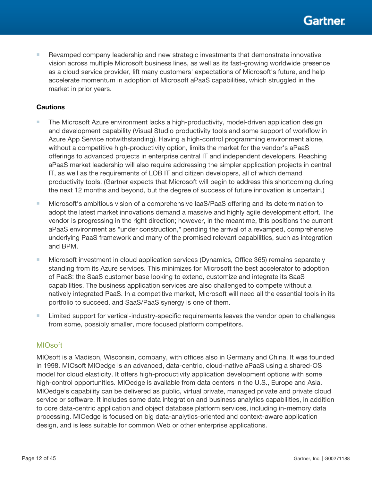■ Revamped company leadership and new strategic investments that demonstrate innovative vision across multiple Microsoft business lines, as well as its fast-growing worldwide presence as a cloud service provider, lift many customers' expectations of Microsoft's future, and help accelerate momentum in adoption of Microsoft aPaaS capabilities, which struggled in the market in prior years.

## **Cautions**

- The Microsoft Azure environment lacks a high-productivity, model-driven application design and development capability (Visual Studio productivity tools and some support of workflow in Azure App Service notwithstanding). Having a high-control programming environment alone, without a competitive high-productivity option, limits the market for the vendor's aPaaS offerings to advanced projects in enterprise central IT and independent developers. Reaching aPaaS market leadership will also require addressing the simpler application projects in central IT, as well as the requirements of LOB IT and citizen developers, all of which demand productivity tools. (Gartner expects that Microsoft will begin to address this shortcoming during the next 12 months and beyond, but the degree of success of future innovation is uncertain.)
- Microsoft's ambitious vision of a comprehensive laaS/PaaS offering and its determination to adopt the latest market innovations demand a massive and highly agile development effort. The vendor is progressing in the right direction; however, in the meantime, this positions the current aPaaS environment as "under construction," pending the arrival of a revamped, comprehensive underlying PaaS framework and many of the promised relevant capabilities, such as integration and BPM.
- Microsoft investment in cloud application services (Dynamics, Office 365) remains separately standing from its Azure services. This minimizes for Microsoft the best accelerator to adoption of PaaS: the SaaS customer base looking to extend, customize and integrate its SaaS capabilities. The business application services are also challenged to compete without a natively integrated PaaS. In a competitive market, Microsoft will need all the essential tools in its portfolio to succeed, and SaaS/PaaS synergy is one of them.
- Limited support for vertical-industry-specific requirements leaves the vendor open to challenges from some, possibly smaller, more focused platform competitors.

#### MIOsoft

MIOsoft is a Madison, Wisconsin, company, with offices also in Germany and China. It was founded in 1998. MIOsoft MIOedge is an advanced, data-centric, cloud-native aPaaS using a shared-OS model for cloud elasticity. It offers high-productivity application development options with some high-control opportunities. MIOedge is available from data centers in the U.S., Europe and Asia. MIOedge's capability can be delivered as public, virtual private, managed private and private cloud service or software. It includes some data integration and business analytics capabilities, in addition to core data-centric application and object database platform services, including in-memory data processing. MIOedge is focused on big data-analytics-oriented and context-aware application design, and is less suitable for common Web or other enterprise applications.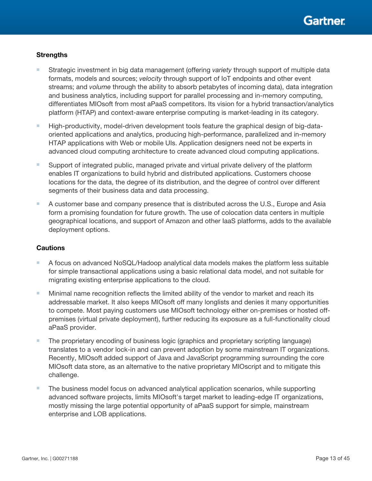

#### **Strengths**

- Strategic investment in big data management (offering *variety* through support of multiple data formats, models and sources; *velocity* through support of IoT endpoints and other event streams; and *volume* through the ability to absorb petabytes of incoming data), data integration and business analytics, including support for parallel processing and in-memory computing, differentiates MIOsoft from most aPaaS competitors. Its vision for a hybrid transaction/analytics platform (HTAP) and context-aware enterprise computing is market-leading in its category.
- High-productivity, model-driven development tools feature the graphical design of big-dataoriented applications and analytics, producing high-performance, parallelized and in-memory HTAP applications with Web or mobile UIs. Application designers need not be experts in advanced cloud computing architecture to create advanced cloud computing applications.
- Support of integrated public, managed private and virtual private delivery of the platform enables IT organizations to build hybrid and distributed applications. Customers choose locations for the data, the degree of its distribution, and the degree of control over different segments of their business data and data processing.
- A customer base and company presence that is distributed across the U.S., Europe and Asia form a promising foundation for future growth. The use of colocation data centers in multiple geographical locations, and support of Amazon and other IaaS platforms, adds to the available deployment options.

- A focus on advanced NoSQL/Hadoop analytical data models makes the platform less suitable for simple transactional applications using a basic relational data model, and not suitable for migrating existing enterprise applications to the cloud.
- Minimal name recognition reflects the limited ability of the vendor to market and reach its addressable market. It also keeps MIOsoft off many longlists and denies it many opportunities to compete. Most paying customers use MIOsoft technology either on-premises or hosted offpremises (virtual private deployment), further reducing its exposure as a full-functionality cloud aPaaS provider.
- The proprietary encoding of business logic (graphics and proprietary scripting language) translates to a vendor lock-in and can prevent adoption by some mainstream IT organizations. Recently, MIOsoft added support of Java and JavaScript programming surrounding the core MIOsoft data store, as an alternative to the native proprietary MIOscript and to mitigate this challenge.
- The business model focus on advanced analytical application scenarios, while supporting advanced software projects, limits MIOsoft's target market to leading-edge IT organizations, mostly missing the large potential opportunity of aPaaS support for simple, mainstream enterprise and LOB applications.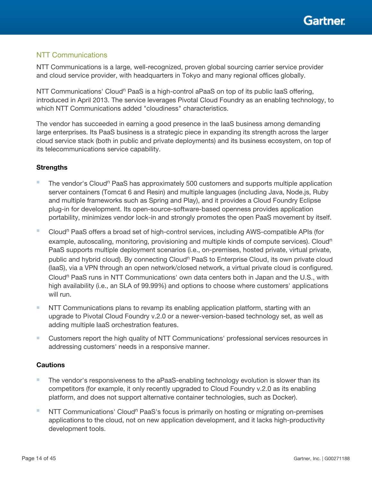

## NTT Communications

NTT Communications is a large, well-recognized, proven global sourcing carrier service provider and cloud service provider, with headquarters in Tokyo and many regional offices globally.

NTT Communications' Cloud<sup>n</sup> PaaS is a high-control aPaaS on top of its public laaS offering, introduced in April 2013. The service leverages Pivotal Cloud Foundry as an enabling technology, to which NTT Communications added "cloudiness" characteristics.

The vendor has succeeded in earning a good presence in the IaaS business among demanding large enterprises. Its PaaS business is a strategic piece in expanding its strength across the larger cloud service stack (both in public and private deployments) and its business ecosystem, on top of its telecommunications service capability.

## **Strengths**

- **■** The vendor's Cloud<sup>n</sup> PaaS has approximately 500 customers and supports multiple application server containers (Tomcat 6 and Resin) and multiple languages (including Java, Node.js, Ruby and multiple frameworks such as Spring and Play), and it provides a Cloud Foundry Eclipse plug-in for development. Its open-source-software-based openness provides application portability, minimizes vendor lock-in and strongly promotes the open PaaS movement by itself.
- Cloud<sup>n</sup> PaaS offers a broad set of high-control services, including AWS-compatible APIs (for example, autoscaling, monitoring, provisioning and multiple kinds of compute services). Cloud<sup>n</sup> PaaS supports multiple deployment scenarios (i.e., on-premises, hosted private, virtual private, public and hybrid cloud). By connecting Cloud<sup>n</sup> PaaS to Enterprise Cloud, its own private cloud (IaaS), via a VPN through an open network/closed network, a virtual private cloud is configured. Cloud<sup>n</sup> PaaS runs in NTT Communications' own data centers both in Japan and the U.S., with high availability (i.e., an SLA of 99.99%) and options to choose where customers' applications will run.
- NTT Communications plans to revamp its enabling application platform, starting with an upgrade to Pivotal Cloud Foundry v.2.0 or a newer-version-based technology set, as well as adding multiple IaaS orchestration features.
- Customers report the high quality of NTT Communications' professional services resources in addressing customers' needs in a responsive manner.

- The vendor's responsiveness to the aPaaS-enabling technology evolution is slower than its competitors (for example, it only recently upgraded to Cloud Foundry v.2.0 as its enabling platform, and does not support alternative container technologies, such as Docker).
- NTT Communications' Cloud<sup>n</sup> PaaS's focus is primarily on hosting or migrating on-premises applications to the cloud, not on new application development, and it lacks high-productivity development tools.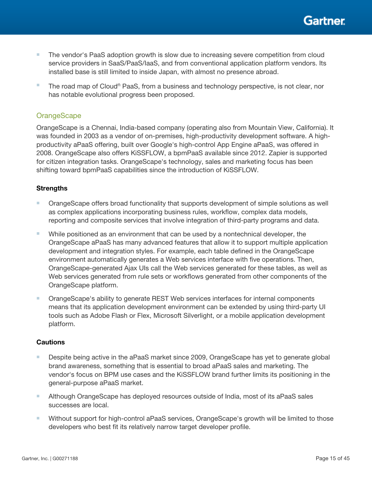

- The vendor's PaaS adoption growth is slow due to increasing severe competition from cloud service providers in SaaS/PaaS/IaaS, and from conventional application platform vendors. Its installed base is still limited to inside Japan, with almost no presence abroad.
- The road map of Cloud<sup>n</sup> PaaS, from a business and technology perspective, is not clear, nor has notable evolutional progress been proposed.

## **OrangeScape**

OrangeScape is a Chennai, India-based company (operating also from Mountain View, California). It was founded in 2003 as a vendor of on-premises, high-productivity development software. A highproductivity aPaaS offering, built over Google's high-control App Engine aPaaS, was offered in 2008. OrangeScape also offers KiSSFLOW, a bpmPaaS available since 2012. Zapier is supported for citizen integration tasks. OrangeScape's technology, sales and marketing focus has been shifting toward bpmPaaS capabilities since the introduction of KiSSFLOW.

#### **Strengths**

- OrangeScape offers broad functionality that supports development of simple solutions as well as complex applications incorporating business rules, workflow, complex data models, reporting and composite services that involve integration of third-party programs and data.
- While positioned as an environment that can be used by a nontechnical developer, the OrangeScape aPaaS has many advanced features that allow it to support multiple application development and integration styles. For example, each table defined in the OrangeScape environment automatically generates a Web services interface with five operations. Then, OrangeScape-generated Ajax UIs call the Web services generated for these tables, as well as Web services generated from rule sets or workflows generated from other components of the OrangeScape platform.
- OrangeScape's ability to generate REST Web services interfaces for internal components means that its application development environment can be extended by using third-party UI tools such as Adobe Flash or Flex, Microsoft Silverlight, or a mobile application development platform.

- Despite being active in the aPaaS market since 2009, OrangeScape has yet to generate global brand awareness, something that is essential to broad aPaaS sales and marketing. The vendor's focus on BPM use cases and the KiSSFLOW brand further limits its positioning in the general-purpose aPaaS market.
- Although OrangeScape has deployed resources outside of India, most of its aPaaS sales successes are local.
- Without support for high-control aPaaS services, OrangeScape's growth will be limited to those developers who best fit its relatively narrow target developer profile.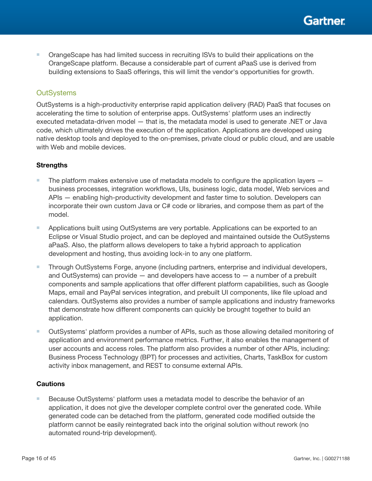■ OrangeScape has had limited success in recruiting ISVs to build their applications on the OrangeScape platform. Because a considerable part of current aPaaS use is derived from building extensions to SaaS offerings, this will limit the vendor's opportunities for growth.

## **OutSystems**

OutSystems is a high-productivity enterprise rapid application delivery (RAD) PaaS that focuses on accelerating the time to solution of enterprise apps. OutSystems' platform uses an indirectly executed metadata-driven model — that is, the metadata model is used to generate .NET or Java code, which ultimately drives the execution of the application. Applications are developed using native desktop tools and deployed to the on-premises, private cloud or public cloud, and are usable with Web and mobile devices.

## **Strengths**

- $\blacksquare$  The platform makes extensive use of metadata models to configure the application layers  $\blacksquare$ business processes, integration workflows, UIs, business logic, data model, Web services and APIs — enabling high-productivity development and faster time to solution. Developers can incorporate their own custom Java or C# code or libraries, and compose them as part of the model.
- Applications built using OutSystems are very portable. Applications can be exported to an Eclipse or Visual Studio project, and can be deployed and maintained outside the OutSystems aPaaS. Also, the platform allows developers to take a hybrid approach to application development and hosting, thus avoiding lock-in to any one platform.
- Through OutSystems Forge, anyone (including partners, enterprise and individual developers, and OutSystems) can provide — and developers have access to — a number of a prebuilt components and sample applications that offer different platform capabilities, such as Google Maps, email and PayPal services integration, and prebuilt UI components, like file upload and calendars. OutSystems also provides a number of sample applications and industry frameworks that demonstrate how different components can quickly be brought together to build an application.
- OutSystems' platform provides a number of APIs, such as those allowing detailed monitoring of application and environment performance metrics. Further, it also enables the management of user accounts and access roles. The platform also provides a number of other APIs, including: Business Process Technology (BPT) for processes and activities, Charts, TaskBox for custom activity inbox management, and REST to consume external APIs.

## **Cautions**

■ Because OutSystems' platform uses a metadata model to describe the behavior of an application, it does not give the developer complete control over the generated code. While generated code can be detached from the platform, generated code modified outside the platform cannot be easily reintegrated back into the original solution without rework (no automated round-trip development).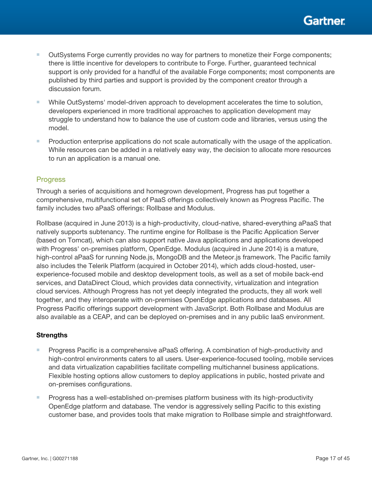- OutSystems Forge currently provides no way for partners to monetize their Forge components; there is little incentive for developers to contribute to Forge. Further, guaranteed technical support is only provided for a handful of the available Forge components; most components are published by third parties and support is provided by the component creator through a discussion forum.
- While OutSystems' model-driven approach to development accelerates the time to solution, developers experienced in more traditional approaches to application development may struggle to understand how to balance the use of custom code and libraries, versus using the model.
- Production enterprise applications do not scale automatically with the usage of the application. While resources can be added in a relatively easy way, the decision to allocate more resources to run an application is a manual one.

## Progress

Through a series of acquisitions and homegrown development, Progress has put together a comprehensive, multifunctional set of PaaS offerings collectively known as Progress Pacific. The family includes two aPaaS offerings: Rollbase and Modulus.

Rollbase (acquired in June 2013) is a high-productivity, cloud-native, shared-everything aPaaS that natively supports subtenancy. The runtime engine for Rollbase is the Pacific Application Server (based on Tomcat), which can also support native Java applications and applications developed with Progress' on-premises platform, OpenEdge. Modulus (acquired in June 2014) is a mature, high-control aPaaS for running Node.js, MongoDB and the Meteor.js framework. The Pacific family also includes the Telerik Platform (acquired in October 2014), which adds cloud-hosted, userexperience-focused mobile and desktop development tools, as well as a set of mobile back-end services, and DataDirect Cloud, which provides data connectivity, virtualization and integration cloud services. Although Progress has not yet deeply integrated the products, they all work well together, and they interoperate with on-premises OpenEdge applications and databases. All Progress Pacific offerings support development with JavaScript. Both Rollbase and Modulus are also available as a CEAP, and can be deployed on-premises and in any public IaaS environment.

#### **Strengths**

- Progress Pacific is a comprehensive aPaaS offering. A combination of high-productivity and high-control environments caters to all users. User-experience-focused tooling, mobile services and data virtualization capabilities facilitate compelling multichannel business applications. Flexible hosting options allow customers to deploy applications in public, hosted private and on-premises configurations.
- Progress has a well-established on-premises platform business with its high-productivity OpenEdge platform and database. The vendor is aggressively selling Pacific to this existing customer base, and provides tools that make migration to Rollbase simple and straightforward.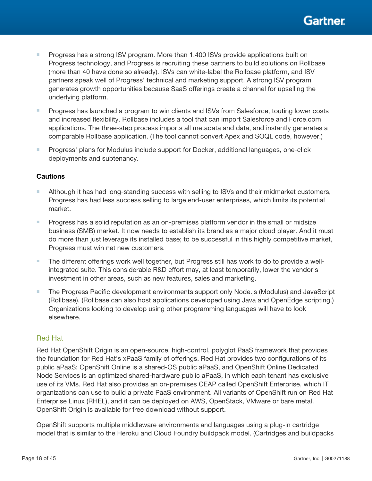- Progress has a strong ISV program. More than 1,400 ISVs provide applications built on Progress technology, and Progress is recruiting these partners to build solutions on Rollbase (more than 40 have done so already). ISVs can white-label the Rollbase platform, and ISV partners speak well of Progress' technical and marketing support. A strong ISV program generates growth opportunities because SaaS offerings create a channel for upselling the underlying platform.
- Progress has launched a program to win clients and ISVs from Salesforce, touting lower costs and increased flexibility. Rollbase includes a tool that can import Salesforce and Force.com applications. The three-step process imports all metadata and data, and instantly generates a comparable Rollbase application. (The tool cannot convert Apex and SOQL code, however.)
- Progress' plans for Modulus include support for Docker, additional languages, one-click deployments and subtenancy.

## **Cautions**

- Although it has had long-standing success with selling to ISVs and their midmarket customers, Progress has had less success selling to large end-user enterprises, which limits its potential market.
- Progress has a solid reputation as an on-premises platform vendor in the small or midsize business (SMB) market. It now needs to establish its brand as a major cloud player. And it must do more than just leverage its installed base; to be successful in this highly competitive market, Progress must win net new customers.
- The different offerings work well together, but Progress still has work to do to provide a wellintegrated suite. This considerable R&D effort may, at least temporarily, lower the vendor's investment in other areas, such as new features, sales and marketing.
- The Progress Pacific development environments support only Node.js (Modulus) and JavaScript (Rollbase). (Rollbase can also host applications developed using Java and OpenEdge scripting.) Organizations looking to develop using other programming languages will have to look elsewhere.

## Red Hat

Red Hat OpenShift Origin is an open-source, high-control, polyglot PaaS framework that provides the foundation for Red Hat's xPaaS family of offerings. Red Hat provides two configurations of its public aPaaS: OpenShift Online is a shared-OS public aPaaS, and OpenShift Online Dedicated Node Services is an optimized shared-hardware public aPaaS, in which each tenant has exclusive use of its VMs. Red Hat also provides an on-premises CEAP called OpenShift Enterprise, which IT organizations can use to build a private PaaS environment. All variants of OpenShift run on Red Hat Enterprise Linux (RHEL), and it can be deployed on AWS, OpenStack, VMware or bare metal. OpenShift Origin is available for free download without support.

OpenShift supports multiple middleware environments and languages using a plug-in cartridge model that is similar to the Heroku and Cloud Foundry buildpack model. (Cartridges and buildpacks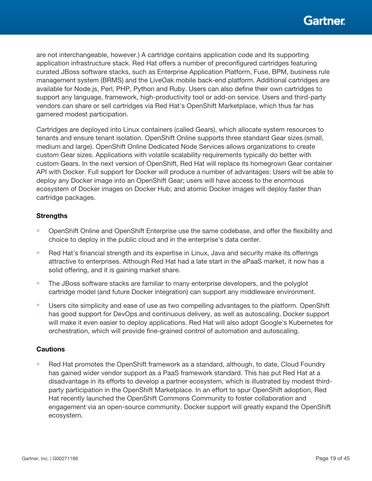are not interchangeable, however.) A cartridge contains application code and its supporting application infrastructure stack. Red Hat offers a number of preconfigured cartridges featuring curated JBoss software stacks, such as Enterprise Application Platform, Fuse, BPM, business rule management system (BRMS) and the LiveOak mobile back-end platform. Additional cartridges are available for Node.js, Perl, PHP, Python and Ruby. Users can also define their own cartridges to support any language, framework, high-productivity tool or add-on service. Users and third-party vendors can share or sell cartridges via Red Hat's OpenShift Marketplace, which thus far has garnered modest participation.

Cartridges are deployed into Linux containers (called Gears), which allocate system resources to tenants and ensure tenant isolation. OpenShift Online supports three standard Gear sizes (small, medium and large). OpenShift Online Dedicated Node Services allows organizations to create custom Gear sizes. Applications with volatile scalability requirements typically do better with custom Gears. In the next version of OpenShift, Red Hat will replace its homegrown Gear container API with Docker. Full support for Docker will produce a number of advantages: Users will be able to deploy any Docker image into an OpenShift Gear; users will have access to the enormous ecosystem of Docker images on Docker Hub; and atomic Docker images will deploy faster than cartridge packages.

## **Strengths**

- OpenShift Online and OpenShift Enterprise use the same codebase, and offer the flexibility and choice to deploy in the public cloud and in the enterprise's data center.
- Red Hat's financial strength and its expertise in Linux, Java and security make its offerings attractive to enterprises. Although Red Hat had a late start in the aPaaS market, it now has a solid offering, and it is gaining market share.
- The JBoss software stacks are familiar to many enterprise developers, and the polyglot cartridge model (and future Docker integration) can support any middleware environment.
- Users cite simplicity and ease of use as two compelling advantages to the platform. OpenShift has good support for DevOps and continuous delivery, as well as autoscaling. Docker support will make it even easier to deploy applications. Red Hat will also adopt Google's Kubernetes for orchestration, which will provide fine-grained control of automation and autoscaling.

## **Cautions**

■ Red Hat promotes the OpenShift framework as a standard, although, to date, Cloud Foundry has gained wider vendor support as a PaaS framework standard. This has put Red Hat at a disadvantage in its efforts to develop a partner ecosystem, which is illustrated by modest thirdparty participation in the OpenShift Marketplace. In an effort to spur OpenShift adoption, Red Hat recently launched the OpenShift Commons Community to foster collaboration and engagement via an open-source community. Docker support will greatly expand the OpenShift ecosystem.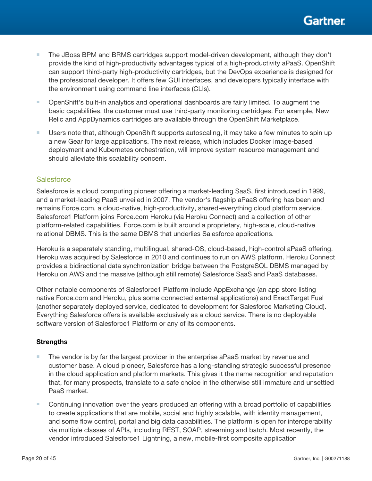- The JBoss BPM and BRMS cartridges support model-driven development, although they don't provide the kind of high-productivity advantages typical of a high-productivity aPaaS. OpenShift can support third-party high-productivity cartridges, but the DevOps experience is designed for the professional developer. It offers few GUI interfaces, and developers typically interface with the environment using command line interfaces (CLIs).
- OpenShift's built-in analytics and operational dashboards are fairly limited. To augment the basic capabilities, the customer must use third-party monitoring cartridges. For example, New Relic and AppDynamics cartridges are available through the OpenShift Marketplace.
- Users note that, although OpenShift supports autoscaling, it may take a few minutes to spin up a new Gear for large applications. The next release, which includes Docker image-based deployment and Kubernetes orchestration, will improve system resource management and should alleviate this scalability concern.

## **Salesforce**

Salesforce is a cloud computing pioneer offering a market-leading SaaS, first introduced in 1999, and a market-leading PaaS unveiled in 2007. The vendor's flagship aPaaS offering has been and remains Force.com, a cloud-native, high-productivity, shared-everything cloud platform service. Salesforce1 Platform joins Force.com Heroku (via Heroku Connect) and a collection of other platform-related capabilities. Force.com is built around a proprietary, high-scale, cloud-native relational DBMS. This is the same DBMS that underlies Salesforce applications.

Heroku is a separately standing, multilingual, shared-OS, cloud-based, high-control aPaaS offering. Heroku was acquired by Salesforce in 2010 and continues to run on AWS platform. Heroku Connect provides a bidirectional data synchronization bridge between the PostgreSQL DBMS managed by Heroku on AWS and the massive (although still remote) Salesforce SaaS and PaaS databases.

Other notable components of Salesforce1 Platform include AppExchange (an app store listing native Force.com and Heroku, plus some connected external applications) and ExactTarget Fuel (another separately deployed service, dedicated to development for Salesforce Marketing Cloud). Everything Salesforce offers is available exclusively as a cloud service. There is no deployable software version of Salesforce1 Platform or any of its components.

#### **Strengths**

- The vendor is by far the largest provider in the enterprise aPaaS market by revenue and customer base. A cloud pioneer, Salesforce has a long-standing strategic successful presence in the cloud application and platform markets. This gives it the name recognition and reputation that, for many prospects, translate to a safe choice in the otherwise still immature and unsettled PaaS market.
- Continuing innovation over the years produced an offering with a broad portfolio of capabilities to create applications that are mobile, social and highly scalable, with identity management, and some flow control, portal and big data capabilities. The platform is open for interoperability via multiple classes of APIs, including REST, SOAP, streaming and batch. Most recently, the vendor introduced Salesforce1 Lightning, a new, mobile-first composite application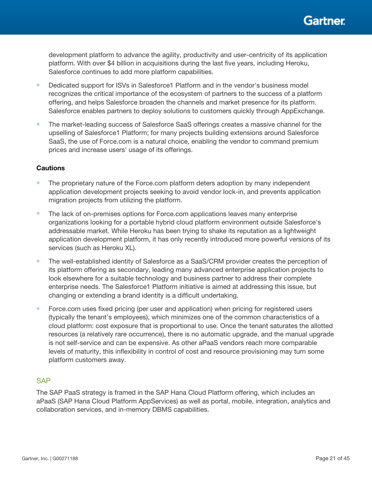

development platform to advance the agility, productivity and user-centricity of its application platform. With over \$4 billion in acquisitions during the last five years, including Heroku, Salesforce continues to add more platform capabilities.

- Dedicated support for ISVs in Salesforce1 Platform and in the vendor's business model recognizes the critical importance of the ecosystem of partners to the success of a platform offering, and helps Salesforce broaden the channels and market presence for its platform. Salesforce enables partners to deploy solutions to customers quickly through AppExchange.
- The market-leading success of Salesforce SaaS offerings creates a massive channel for the upselling of Salesforce1 Platform; for many projects building extensions around Salesforce SaaS, the use of Force.com is a natural choice, enabling the vendor to command premium prices and increase users' usage of its offerings.

#### **Cautions**

- The proprietary nature of the Force.com platform deters adoption by many independent application development projects seeking to avoid vendor lock-in, and prevents application migration projects from utilizing the platform.
- The lack of on-premises options for Force.com applications leaves many enterprise organizations looking for a portable hybrid cloud platform environment outside Salesforce's addressable market. While Heroku has been trying to shake its reputation as a lightweight application development platform, it has only recently introduced more powerful versions of its services (such as Heroku XL).
- The well-established identity of Salesforce as a SaaS/CRM provider creates the perception of its platform offering as secondary, leading many advanced enterprise application projects to look elsewhere for a suitable technology and business partner to address their complete enterprise needs. The Salesforce1 Platform initiative is aimed at addressing this issue, but changing or extending a brand identity is a difficult undertaking.
- Force.com uses fixed pricing (per user and application) when pricing for registered users (typically the tenant's employees), which minimizes one of the common characteristics of a cloud platform: cost exposure that is proportional to use. Once the tenant saturates the allotted resources (a relatively rare occurrence), there is no automatic upgrade, and the manual upgrade is not self-service and can be expensive. As other aPaaS vendors reach more comparable levels of maturity, this inflexibility in control of cost and resource provisioning may turn some platform customers away.

#### **SAP**

The SAP PaaS strategy is framed in the SAP Hana Cloud Platform offering, which includes an aPaaS (SAP Hana Cloud Platform AppServices) as well as portal, mobile, integration, analytics and collaboration services, and in-memory DBMS capabilities.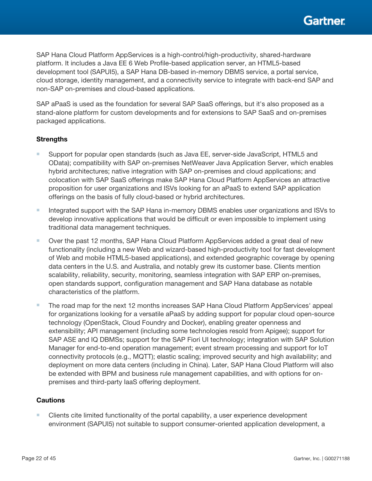SAP Hana Cloud Platform AppServices is a high-control/high-productivity, shared-hardware platform. It includes a Java EE 6 Web Profile-based application server, an HTML5-based development tool (SAPUI5), a SAP Hana DB-based in-memory DBMS service, a portal service, cloud storage, identity management, and a connectivity service to integrate with back-end SAP and non-SAP on-premises and cloud-based applications.

SAP aPaaS is used as the foundation for several SAP SaaS offerings, but it's also proposed as a stand-alone platform for custom developments and for extensions to SAP SaaS and on-premises packaged applications.

## **Strengths**

- Support for popular open standards (such as Java EE, server-side JavaScript, HTML5 and OData); compatibility with SAP on-premises NetWeaver Java Application Server, which enables hybrid architectures; native integration with SAP on-premises and cloud applications; and colocation with SAP SaaS offerings make SAP Hana Cloud Platform AppServices an attractive proposition for user organizations and ISVs looking for an aPaaS to extend SAP application offerings on the basis of fully cloud-based or hybrid architectures.
- Integrated support with the SAP Hana in-memory DBMS enables user organizations and ISVs to develop innovative applications that would be difficult or even impossible to implement using traditional data management techniques.
- Over the past 12 months, SAP Hana Cloud Platform AppServices added a great deal of new functionality (including a new Web and wizard-based high-productivity tool for fast development of Web and mobile HTML5-based applications), and extended geographic coverage by opening data centers in the U.S. and Australia, and notably grew its customer base. Clients mention scalability, reliability, security, monitoring, seamless integration with SAP ERP on-premises, open standards support, configuration management and SAP Hana database as notable characteristics of the platform.
- The road map for the next 12 months increases SAP Hana Cloud Platform AppServices' appeal for organizations looking for a versatile aPaaS by adding support for popular cloud open-source technology (OpenStack, Cloud Foundry and Docker), enabling greater openness and extensibility; API management (including some technologies resold from Apigee); support for SAP ASE and IQ DBMSs; support for the SAP Fiori UI technology; integration with SAP Solution Manager for end-to-end operation management; event stream processing and support for IoT connectivity protocols (e.g., MQTT); elastic scaling; improved security and high availability; and deployment on more data centers (including in China). Later, SAP Hana Cloud Platform will also be extended with BPM and business rule management capabilities, and with options for onpremises and third-party IaaS offering deployment.

## **Cautions**

■ Clients cite limited functionality of the portal capability, a user experience development environment (SAPUI5) not suitable to support consumer-oriented application development, a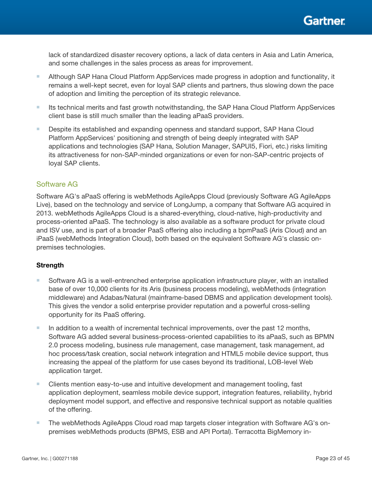lack of standardized disaster recovery options, a lack of data centers in Asia and Latin America, and some challenges in the sales process as areas for improvement.

- Although SAP Hana Cloud Platform AppServices made progress in adoption and functionality, it remains a well-kept secret, even for loyal SAP clients and partners, thus slowing down the pace of adoption and limiting the perception of its strategic relevance.
- Its technical merits and fast growth notwithstanding, the SAP Hana Cloud Platform AppServices client base is still much smaller than the leading aPaaS providers.
- Despite its established and expanding openness and standard support, SAP Hana Cloud Platform AppServices' positioning and strength of being deeply integrated with SAP applications and technologies (SAP Hana, Solution Manager, SAPUI5, Fiori, etc.) risks limiting its attractiveness for non-SAP-minded organizations or even for non-SAP-centric projects of loyal SAP clients.

## Software AG

Software AG's aPaaS offering is webMethods AgileApps Cloud (previously Software AG AgileApps Live), based on the technology and service of LongJump, a company that Software AG acquired in 2013. webMethods AgileApps Cloud is a shared-everything, cloud-native, high-productivity and process-oriented aPaaS. The technology is also available as a software product for private cloud and ISV use, and is part of a broader PaaS offering also including a bpmPaaS (Aris Cloud) and an iPaaS (webMethods Integration Cloud), both based on the equivalent Software AG's classic onpremises technologies.

## **Strength**

- Software AG is a well-entrenched enterprise application infrastructure player, with an installed base of over 10,000 clients for its Aris (business process modeling), webMethods (integration middleware) and Adabas/Natural (mainframe-based DBMS and application development tools). This gives the vendor a solid enterprise provider reputation and a powerful cross-selling opportunity for its PaaS offering.
- In addition to a wealth of incremental technical improvements, over the past 12 months, Software AG added several business-process-oriented capabilities to its aPaaS, such as BPMN 2.0 process modeling, business rule management, case management, task management, ad hoc process/task creation, social network integration and HTML5 mobile device support, thus increasing the appeal of the platform for use cases beyond its traditional, LOB-level Web application target.
- Clients mention easy-to-use and intuitive development and management tooling, fast application deployment, seamless mobile device support, integration features, reliability, hybrid deployment model support, and effective and responsive technical support as notable qualities of the offering.
- The webMethods AgileApps Cloud road map targets closer integration with Software AG's onpremises webMethods products (BPMS, ESB and API Portal). Terracotta BigMemory in-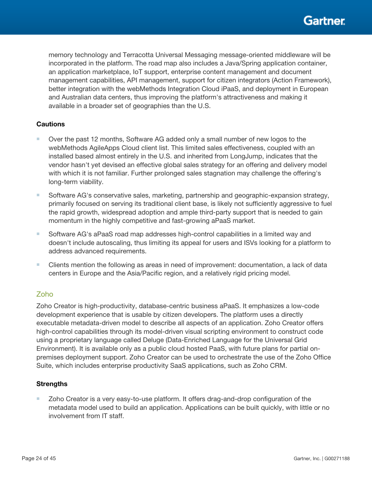memory technology and Terracotta Universal Messaging message-oriented middleware will be incorporated in the platform. The road map also includes a Java/Spring application container, an application marketplace, IoT support, enterprise content management and document management capabilities, API management, support for citizen integrators (Action Framework), better integration with the webMethods Integration Cloud iPaaS, and deployment in European and Australian data centers, thus improving the platform's attractiveness and making it available in a broader set of geographies than the U.S.

## **Cautions**

- Over the past 12 months, Software AG added only a small number of new logos to the webMethods AgileApps Cloud client list. This limited sales effectiveness, coupled with an installed based almost entirely in the U.S. and inherited from LongJump, indicates that the vendor hasn't yet devised an effective global sales strategy for an offering and delivery model with which it is not familiar. Further prolonged sales stagnation may challenge the offering's long-term viability.
- Software AG's conservative sales, marketing, partnership and geographic-expansion strategy, primarily focused on serving its traditional client base, is likely not sufficiently aggressive to fuel the rapid growth, widespread adoption and ample third-party support that is needed to gain momentum in the highly competitive and fast-growing aPaaS market.
- Software AG's aPaaS road map addresses high-control capabilities in a limited way and doesn't include autoscaling, thus limiting its appeal for users and ISVs looking for a platform to address advanced requirements.
- Clients mention the following as areas in need of improvement: documentation, a lack of data centers in Europe and the Asia/Pacific region, and a relatively rigid pricing model.

## Zoho

Zoho Creator is high-productivity, database-centric business aPaaS. It emphasizes a low-code development experience that is usable by citizen developers. The platform uses a directly executable metadata-driven model to describe all aspects of an application. Zoho Creator offers high-control capabilities through its model-driven visual scripting environment to construct code using a proprietary language called Deluge (Data-Enriched Language for the Universal Grid Environment). It is available only as a public cloud hosted PaaS, with future plans for partial onpremises deployment support. Zoho Creator can be used to orchestrate the use of the Zoho Office Suite, which includes enterprise productivity SaaS applications, such as Zoho CRM.

#### **Strengths**

■ Zoho Creator is a very easy-to-use platform. It offers drag-and-drop configuration of the metadata model used to build an application. Applications can be built quickly, with little or no involvement from IT staff.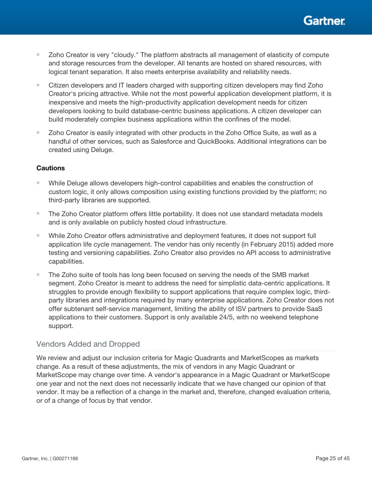

- Zoho Creator is very "cloudy." The platform abstracts all management of elasticity of compute and storage resources from the developer. All tenants are hosted on shared resources, with logical tenant separation. It also meets enterprise availability and reliability needs.
- Citizen developers and IT leaders charged with supporting citizen developers may find Zoho Creator's pricing attractive. While not the most powerful application development platform, it is inexpensive and meets the high-productivity application development needs for citizen developers looking to build database-centric business applications. A citizen developer can build moderately complex business applications within the confines of the model.
- Zoho Creator is easily integrated with other products in the Zoho Office Suite, as well as a handful of other services, such as Salesforce and QuickBooks. Additional integrations can be created using Deluge.

#### **Cautions**

- While Deluge allows developers high-control capabilities and enables the construction of custom logic, it only allows composition using existing functions provided by the platform; no third-party libraries are supported.
- The Zoho Creator platform offers little portability. It does not use standard metadata models and is only available on publicly hosted cloud infrastructure.
- While Zoho Creator offers administrative and deployment features, it does not support full application life cycle management. The vendor has only recently (in February 2015) added more testing and versioning capabilities. Zoho Creator also provides no API access to administrative capabilities.
- The Zoho suite of tools has long been focused on serving the needs of the SMB market segment. Zoho Creator is meant to address the need for simplistic data-centric applications. It struggles to provide enough flexibility to support applications that require complex logic, thirdparty libraries and integrations required by many enterprise applications. Zoho Creator does not offer subtenant self-service management, limiting the ability of ISV partners to provide SaaS applications to their customers. Support is only available 24/5, with no weekend telephone support.

## Vendors Added and Dropped

We review and adjust our inclusion criteria for Magic Quadrants and MarketScopes as markets change. As a result of these adjustments, the mix of vendors in any Magic Quadrant or MarketScope may change over time. A vendor's appearance in a Magic Quadrant or MarketScope one year and not the next does not necessarily indicate that we have changed our opinion of that vendor. It may be a reflection of a change in the market and, therefore, changed evaluation criteria, or of a change of focus by that vendor.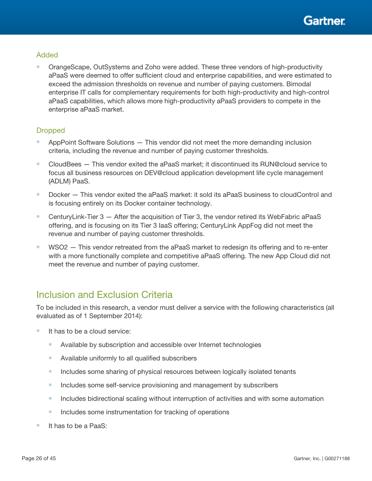## Added

■ OrangeScape, OutSystems and Zoho were added. These three vendors of high-productivity aPaaS were deemed to offer sufficient cloud and enterprise capabilities, and were estimated to exceed the admission thresholds on revenue and number of paying customers. Bimodal enterprise IT calls for complementary requirements for both high-productivity and high-control aPaaS capabilities, which allows more high-productivity aPaaS providers to compete in the enterprise aPaaS market.

## **Dropped**

- AppPoint Software Solutions This vendor did not meet the more demanding inclusion criteria, including the revenue and number of paying customer thresholds.
- CloudBees This vendor exited the aPaaS market; it discontinued its RUN@cloud service to focus all business resources on DEV@cloud application development life cycle management (ADLM) PaaS.
- Docker This vendor exited the aPaaS market: it sold its aPaaS business to cloudControl and is focusing entirely on its Docker container technology.
- CenturyLink-Tier 3 After the acquisition of Tier 3, the vendor retired its WebFabric aPaaS offering, and is focusing on its Tier 3 IaaS offering; CenturyLink AppFog did not meet the revenue and number of paying customer thresholds.
- WSO2 This vendor retreated from the aPaaS market to redesign its offering and to re-enter with a more functionally complete and competitive aPaaS offering. The new App Cloud did not meet the revenue and number of paying customer.

# Inclusion and Exclusion Criteria

To be included in this research, a vendor must deliver a service with the following characteristics (all evaluated as of 1 September 2014):

- It has to be a cloud service:
	- Available by subscription and accessible over Internet technologies
	- Available uniformly to all qualified subscribers
	- Includes some sharing of physical resources between logically isolated tenants
	- Includes some self-service provisioning and management by subscribers
	- Includes bidirectional scaling without interruption of activities and with some automation
	- Includes some instrumentation for tracking of operations
- It has to be a PaaS: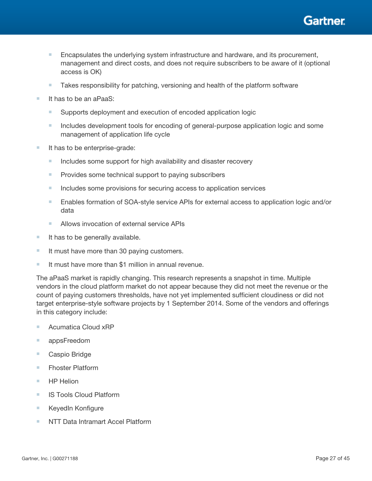

- Encapsulates the underlying system infrastructure and hardware, and its procurement, management and direct costs, and does not require subscribers to be aware of it (optional access is OK)
- Takes responsibility for patching, versioning and health of the platform software
- It has to be an aPaaS:
	- Supports deployment and execution of encoded application logic
	- Includes development tools for encoding of general-purpose application logic and some management of application life cycle
- It has to be enterprise-grade:
	- Includes some support for high availability and disaster recovery
	- Provides some technical support to paying subscribers
	- Includes some provisions for securing access to application services
	- Enables formation of SOA-style service APIs for external access to application logic and/or data
	- Allows invocation of external service APIs
- It has to be generally available.
- It must have more than 30 paying customers.
- It must have more than \$1 million in annual revenue.

The aPaaS market is rapidly changing. This research represents a snapshot in time. Multiple vendors in the cloud platform market do not appear because they did not meet the revenue or the count of paying customers thresholds, have not yet implemented sufficient cloudiness or did not target enterprise-style software projects by 1 September 2014. Some of the vendors and offerings in this category include:

- Acumatica Cloud xRP
- appsFreedom
- Caspio Bridge
- Fhoster Platform
- HP Helion
- IS Tools Cloud Platform
- KeyedIn Konfigure
- NTT Data Intramart Accel Platform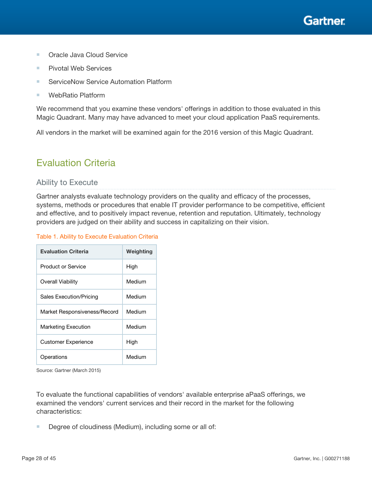

- Oracle Java Cloud Service
- Pivotal Web Services
- ServiceNow Service Automation Platform
- WebRatio Platform

We recommend that you examine these vendors' offerings in addition to those evaluated in this Magic Quadrant. Many may have advanced to meet your cloud application PaaS requirements.

All vendors in the market will be examined again for the 2016 version of this Magic Quadrant.

# Evaluation Criteria

## Ability to Execute

Gartner analysts evaluate technology providers on the quality and efficacy of the processes, systems, methods or procedures that enable IT provider performance to be competitive, efficient and effective, and to positively impact revenue, retention and reputation. Ultimately, technology providers are judged on their ability and success in capitalizing on their vision.

#### Table 1. Ability to Execute Evaluation Criteria

| <b>Evaluation Criteria</b>   | Weighting |
|------------------------------|-----------|
| Product or Service           | High      |
| Overall Viability            | Medium    |
| Sales Execution/Pricing      | Medium    |
| Market Responsiveness/Record | Medium    |
| Marketing Execution          | Medium    |
| <b>Customer Experience</b>   | High      |
| Operations                   | Medium    |

Source: Gartner (March 2015)

To evaluate the functional capabilities of vendors' available enterprise aPaaS offerings, we examined the vendors' current services and their record in the market for the following characteristics:

■ Degree of cloudiness (Medium), including some or all of: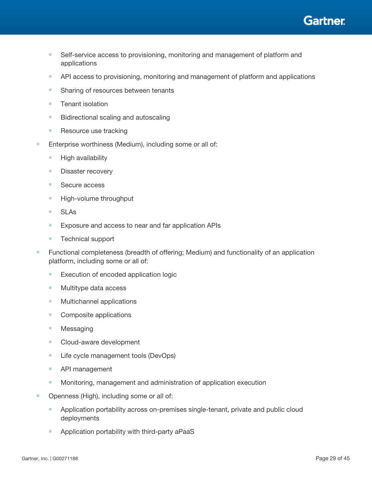

- Self-service access to provisioning, monitoring and management of platform and applications
- API access to provisioning, monitoring and management of platform and applications
- Sharing of resources between tenants
- Tenant isolation
- Bidirectional scaling and autoscaling
- Resource use tracking
- Enterprise worthiness (Medium), including some or all of:
	- High availability
	- Disaster recovery
	- Secure access
	- High-volume throughput
	- SLAs
	- Exposure and access to near and far application APIs
	- Technical support
- Functional completeness (breadth of offering; Medium) and functionality of an application platform, including some or all of:
	- Execution of encoded application logic
	- Multitype data access
	- Multichannel applications
	- Composite applications
	- Messaging
	- Cloud-aware development
	- Life cycle management tools (DevOps)
	- API management
	- Monitoring, management and administration of application execution
- Openness (High), including some or all of:
	- Application portability across on-premises single-tenant, private and public cloud deployments
	- Application portability with third-party aPaaS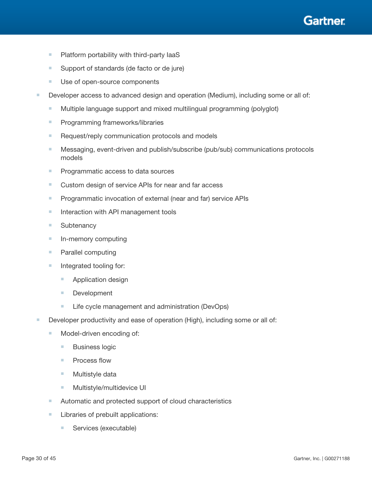

- Platform portability with third-party laaS
- Support of standards (de facto or de jure)
- Use of open-source components
- Developer access to advanced design and operation (Medium), including some or all of:
	- Multiple language support and mixed multilingual programming (polyglot)
	- Programming frameworks/libraries
	- Request/reply communication protocols and models
	- Messaging, event-driven and publish/subscribe (pub/sub) communications protocols models
	- Programmatic access to data sources
	- Custom design of service APIs for near and far access
	- Programmatic invocation of external (near and far) service APIs
	- Interaction with API management tools
	- Subtenancy
	- In-memory computing
	- Parallel computing
	- Integrated tooling for:
		- Application design
		- Development
		- Life cycle management and administration (DevOps)
- Developer productivity and ease of operation (High), including some or all of:
	- Model-driven encoding of:
		- Business logic
		- Process flow
		- Multistyle data
		- Multistyle/multidevice UI
	- Automatic and protected support of cloud characteristics
	- Libraries of prebuilt applications:
		- Services (executable)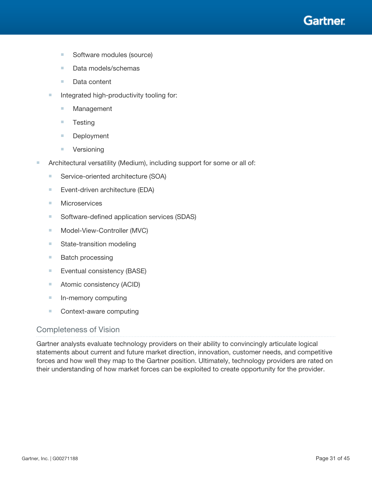

- Software modules (source)
- Data models/schemas
- Data content
- Integrated high-productivity tooling for:
	- Management
	- Testing
	- Deployment
	- Versioning
- Architectural versatility (Medium), including support for some or all of:
	- Service-oriented architecture (SOA)
	- Event-driven architecture (EDA)
	- Microservices
	- Software-defined application services (SDAS)
	- Model-View-Controller (MVC)
	- State-transition modeling
	- Batch processing
	- Eventual consistency (BASE)
	- Atomic consistency (ACID)
	- In-memory computing
	- Context-aware computing

## Completeness of Vision

Gartner analysts evaluate technology providers on their ability to convincingly articulate logical statements about current and future market direction, innovation, customer needs, and competitive forces and how well they map to the Gartner position. Ultimately, technology providers are rated on their understanding of how market forces can be exploited to create opportunity for the provider.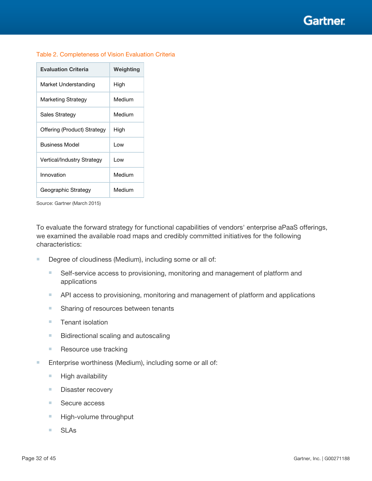**Gartner** 

| <b>Evaluation Criteria</b>  | Weighting |
|-----------------------------|-----------|
| Market Understanding        | High      |
| Marketing Strategy          | Medium    |
| Sales Strategy              | Medium    |
| Offering (Product) Strategy | High      |
| <b>Business Model</b>       | l ow      |
| Vertical/Industry Strategy  | l ow      |
| Innovation                  | Medium    |
| Geographic Strategy         | Medium    |

#### Table 2. Completeness of Vision Evaluation Criteria

Source: Gartner (March 2015)

To evaluate the forward strategy for functional capabilities of vendors' enterprise aPaaS offerings, we examined the available road maps and credibly committed initiatives for the following characteristics:

- Degree of cloudiness (Medium), including some or all of:
	- Self-service access to provisioning, monitoring and management of platform and applications
	- API access to provisioning, monitoring and management of platform and applications
	- Sharing of resources between tenants
	- Tenant isolation
	- Bidirectional scaling and autoscaling
	- Resource use tracking
- Enterprise worthiness (Medium), including some or all of:
	- High availability
	- Disaster recovery
	- Secure access
	- High-volume throughput
	- SLAs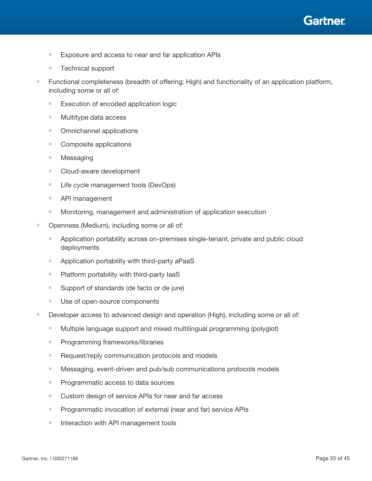

- Exposure and access to near and far application APIs
- Technical support
- Functional completeness (breadth of offering; High) and functionality of an application platform, including some or all of:
	- Execution of encoded application logic
	- Multitype data access
	- Omnichannel applications
	- Composite applications
	- Messaging
	- Cloud-aware development
	- Life cycle management tools (DevOps)
	- API management
	- Monitoring, management and administration of application execution
- Openness (Medium), including some or all of:
	- Application portability across on-premises single-tenant, private and public cloud deployments
	- Application portability with third-party aPaaS
	- Platform portability with third-party laaS
	- Support of standards (de facto or de jure)
	- Use of open-source components
- Developer access to advanced design and operation (High), including some or all of:
	- Multiple language support and mixed multilingual programming (polyglot)
	- Programming frameworks/libraries
	- Request/reply communication protocols and models
	- Messaging, event-driven and pub/sub communications protocols models
	- Programmatic access to data sources
	- Custom design of service APIs for near and far access
	- Programmatic invocation of external (near and far) service APIs
	- Interaction with API management tools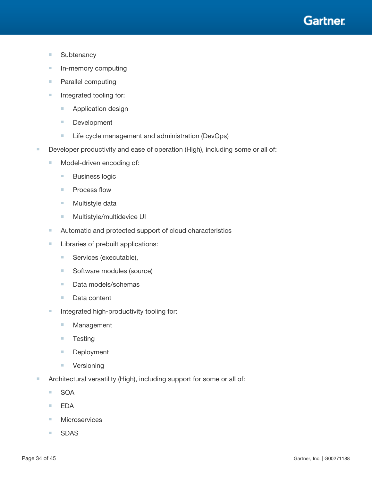

- Subtenancy
- In-memory computing
- Parallel computing
- Integrated tooling for:
	- Application design
	- Development
	- Life cycle management and administration (DevOps)
- Developer productivity and ease of operation (High), including some or all of:
	- Model-driven encoding of:
		- Business logic
		- Process flow
		- Multistyle data
		- Multistyle/multidevice UI
	- Automatic and protected support of cloud characteristics
	- Libraries of prebuilt applications:
		- Services (executable),
		- Software modules (source)
		- Data models/schemas
		- Data content
	- Integrated high-productivity tooling for:
		- Management
		- Testing
		- Deployment
		- Versioning
- Architectural versatility (High), including support for some or all of:
	- SOA
	- EDA
	- Microservices
	- SDAS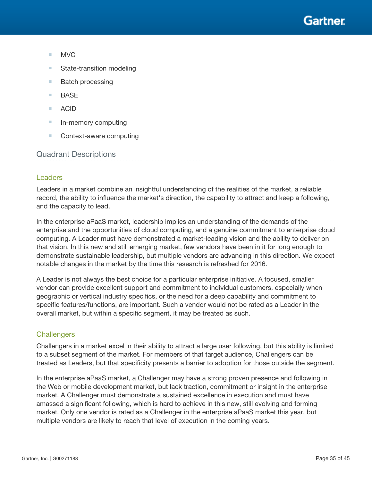

- MVC
- State-transition modeling
- Batch processing
- BASE
- ACID
- In-memory computing
- Context-aware computing

## Quadrant Descriptions

#### Leaders

Leaders in a market combine an insightful understanding of the realities of the market, a reliable record, the ability to influence the market's direction, the capability to attract and keep a following, and the capacity to lead.

In the enterprise aPaaS market, leadership implies an understanding of the demands of the enterprise and the opportunities of cloud computing, and a genuine commitment to enterprise cloud computing. A Leader must have demonstrated a market-leading vision and the ability to deliver on that vision. In this new and still emerging market, few vendors have been in it for long enough to demonstrate sustainable leadership, but multiple vendors are advancing in this direction. We expect notable changes in the market by the time this research is refreshed for 2016.

A Leader is not always the best choice for a particular enterprise initiative. A focused, smaller vendor can provide excellent support and commitment to individual customers, especially when geographic or vertical industry specifics, or the need for a deep capability and commitment to specific features/functions, are important. Such a vendor would not be rated as a Leader in the overall market, but within a specific segment, it may be treated as such.

#### **Challengers**

Challengers in a market excel in their ability to attract a large user following, but this ability is limited to a subset segment of the market. For members of that target audience, Challengers can be treated as Leaders, but that specificity presents a barrier to adoption for those outside the segment.

In the enterprise aPaaS market, a Challenger may have a strong proven presence and following in the Web or mobile development market, but lack traction, commitment or insight in the enterprise market. A Challenger must demonstrate a sustained excellence in execution and must have amassed a significant following, which is hard to achieve in this new, still evolving and forming market. Only one vendor is rated as a Challenger in the enterprise aPaaS market this year, but multiple vendors are likely to reach that level of execution in the coming years.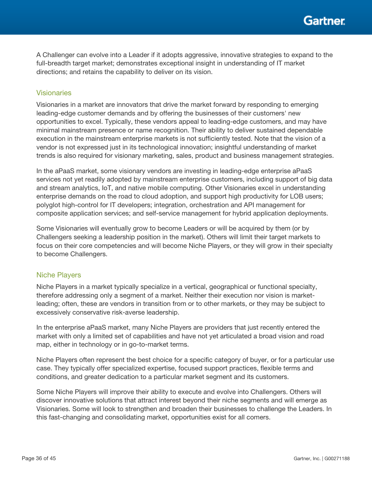A Challenger can evolve into a Leader if it adopts aggressive, innovative strategies to expand to the full-breadth target market; demonstrates exceptional insight in understanding of IT market directions; and retains the capability to deliver on its vision.

## Visionaries

Visionaries in a market are innovators that drive the market forward by responding to emerging leading-edge customer demands and by offering the businesses of their customers' new opportunities to excel. Typically, these vendors appeal to leading-edge customers, and may have minimal mainstream presence or name recognition. Their ability to deliver sustained dependable execution in the mainstream enterprise markets is not sufficiently tested. Note that the vision of a vendor is not expressed just in its technological innovation; insightful understanding of market trends is also required for visionary marketing, sales, product and business management strategies.

In the aPaaS market, some visionary vendors are investing in leading-edge enterprise aPaaS services not yet readily adopted by mainstream enterprise customers, including support of big data and stream analytics, IoT, and native mobile computing. Other Visionaries excel in understanding enterprise demands on the road to cloud adoption, and support high productivity for LOB users; polyglot high-control for IT developers; integration, orchestration and API management for composite application services; and self-service management for hybrid application deployments.

Some Visionaries will eventually grow to become Leaders or will be acquired by them (or by Challengers seeking a leadership position in the market). Others will limit their target markets to focus on their core competencies and will become Niche Players, or they will grow in their specialty to become Challengers.

#### Niche Players

Niche Players in a market typically specialize in a vertical, geographical or functional specialty, therefore addressing only a segment of a market. Neither their execution nor vision is marketleading; often, these are vendors in transition from or to other markets, or they may be subject to excessively conservative risk-averse leadership.

In the enterprise aPaaS market, many Niche Players are providers that just recently entered the market with only a limited set of capabilities and have not yet articulated a broad vision and road map, either in technology or in go-to-market terms.

Niche Players often represent the best choice for a specific category of buyer, or for a particular use case. They typically offer specialized expertise, focused support practices, flexible terms and conditions, and greater dedication to a particular market segment and its customers.

Some Niche Players will improve their ability to execute and evolve into Challengers. Others will discover innovative solutions that attract interest beyond their niche segments and will emerge as Visionaries. Some will look to strengthen and broaden their businesses to challenge the Leaders. In this fast-changing and consolidating market, opportunities exist for all comers.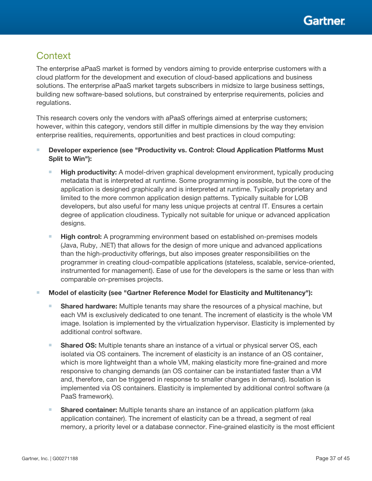# **Context**

The enterprise aPaaS market is formed by vendors aiming to provide enterprise customers with a cloud platform for the development and execution of cloud-based applications and business solutions. The enterprise aPaaS market targets subscribers in midsize to large business settings, building new software-based solutions, but constrained by enterprise requirements, policies and regulations.

This research covers only the vendors with aPaaS offerings aimed at enterprise customers; however, within this category, vendors still differ in multiple dimensions by the way they envision enterprise realities, requirements, opportunities and best practices in cloud computing:

- Developer experience (see "Productivity vs. Control: Cloud Application Platforms Must Split to Win"):
	- **High productivity:** A model-driven graphical development environment, typically producing metadata that is interpreted at runtime. Some programming is possible, but the core of the application is designed graphically and is interpreted at runtime. Typically proprietary and limited to the more common application design patterns. Typically suitable for LOB developers, but also useful for many less unique projects at central IT. Ensures a certain degree of application cloudiness. Typically not suitable for unique or advanced application designs.
	- **High control:** A programming environment based on established on-premises models (Java, Ruby, .NET) that allows for the design of more unique and advanced applications than the high-productivity offerings, but also imposes greater responsibilities on the programmer in creating cloud-compatible applications (stateless, scalable, service-oriented, instrumented for management). Ease of use for the developers is the same or less than with comparable on-premises projects.
- Model of elasticity (see "Gartner Reference Model for Elasticity and Multitenancy"):
	- **Shared hardware:** Multiple tenants may share the resources of a physical machine, but each VM is exclusively dedicated to one tenant. The increment of elasticity is the whole VM image. Isolation is implemented by the virtualization hypervisor. Elasticity is implemented by additional control software.
	- Shared OS: Multiple tenants share an instance of a virtual or physical server OS, each isolated via OS containers. The increment of elasticity is an instance of an OS container, which is more lightweight than a whole VM, making elasticity more fine-grained and more responsive to changing demands (an OS container can be instantiated faster than a VM and, therefore, can be triggered in response to smaller changes in demand). Isolation is implemented via OS containers. Elasticity is implemented by additional control software (a PaaS framework).
	- **Shared container:** Multiple tenants share an instance of an application platform (aka application container). The increment of elasticity can be a thread, a segment of real memory, a priority level or a database connector. Fine-grained elasticity is the most efficient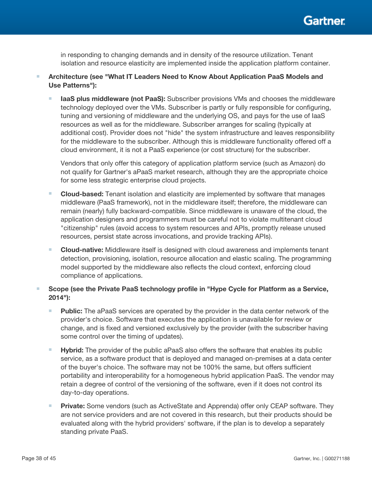

in responding to changing demands and in density of the resource utilization. Tenant isolation and resource elasticity are implemented inside the application platform container.

- Architecture (see "What IT Leaders Need to Know About Application PaaS Models and Use Patterns"):
	- **IaaS plus middleware (not PaaS):** Subscriber provisions VMs and chooses the middleware technology deployed over the VMs. Subscriber is partly or fully responsible for configuring, tuning and versioning of middleware and the underlying OS, and pays for the use of IaaS resources as well as for the middleware. Subscriber arranges for scaling (typically at additional cost). Provider does not "hide" the system infrastructure and leaves responsibility for the middleware to the subscriber. Although this is middleware functionality offered off a cloud environment, it is not a PaaS experience (or cost structure) for the subscriber.

Vendors that only offer this category of application platform service (such as Amazon) do not qualify for Gartner's aPaaS market research, although they are the appropriate choice for some less strategic enterprise cloud projects.

- **Cloud-based:** Tenant isolation and elasticity are implemented by software that manages middleware (PaaS framework), not in the middleware itself; therefore, the middleware can remain (nearly) fully backward-compatible. Since middleware is unaware of the cloud, the application designers and programmers must be careful not to violate multitenant cloud "citizenship" rules (avoid access to system resources and APIs, promptly release unused resources, persist state across invocations, and provide tracking APIs).
- **Cloud-native:** Middleware itself is designed with cloud awareness and implements tenant detection, provisioning, isolation, resource allocation and elastic scaling. The programming model supported by the middleware also reflects the cloud context, enforcing cloud compliance of applications.
- Scope (see the Private PaaS technology profile in "Hype Cycle for Platform as a Service, 2014"):
	- **Public:** The aPaaS services are operated by the provider in the data center network of the provider's choice. Software that executes the application is unavailable for review or change, and is fixed and versioned exclusively by the provider (with the subscriber having some control over the timing of updates).
	- **Hybrid:** The provider of the public aPaaS also offers the software that enables its public service, as a software product that is deployed and managed on-premises at a data center of the buyer's choice. The software may not be 100% the same, but offers sufficient portability and interoperability for a homogeneous hybrid application PaaS. The vendor may retain a degree of control of the versioning of the software, even if it does not control its day-to-day operations.
	- **Private:** Some vendors (such as ActiveState and Apprenda) offer only CEAP software. They are not service providers and are not covered in this research, but their products should be evaluated along with the hybrid providers' software, if the plan is to develop a separately standing private PaaS.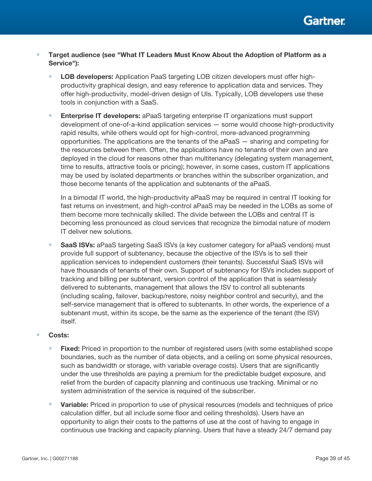

- Target audience (see "What IT Leaders Must Know About the Adoption of Platform as a Service"):
	- LOB developers: Application PaaS targeting LOB citizen developers must offer highproductivity graphical design, and easy reference to application data and services. They offer high-productivity, model-driven design of UIs. Typically, LOB developers use these tools in conjunction with a SaaS.
	- **Enterprise IT developers:** aPaaS targeting enterprise IT organizations must support development of one-of-a-kind application services — some would choose high-productivity rapid results, while others would opt for high-control, more-advanced programming opportunities. The applications are the tenants of the aPaaS — sharing and competing for the resources between them. Often, the applications have no tenants of their own and are deployed in the cloud for reasons other than multitenancy (delegating system management, time to results, attractive tools or pricing); however, in some cases, custom IT applications may be used by isolated departments or branches within the subscriber organization, and those become tenants of the application and subtenants of the aPaaS.

In a bimodal IT world, the high-productivity aPaaS may be required in central IT looking for fast returns on investment, and high-control aPaaS may be needed in the LOBs as some of them become more technically skilled. The divide between the LOBs and central IT is becoming less pronounced as cloud services that recognize the bimodal nature of modern IT deliver new solutions.

**SaaS ISVs:** aPaaS targeting SaaS ISVs (a key customer category for aPaaS vendors) must provide full support of subtenancy, because the objective of the ISVs is to sell their application services to independent customers (their tenants). Successful SaaS ISVs will have thousands of tenants of their own. Support of subtenancy for ISVs includes support of tracking and billing per subtenant, version control of the application that is seamlessly delivered to subtenants, management that allows the ISV to control all subtenants (including scaling, failover, backup/restore, noisy neighbor control and security), and the self-service management that is offered to subtenants. In other words, the experience of a subtenant must, within its scope, be the same as the experience of the tenant (the ISV) itself.

#### ■ Costs:

- **Fixed:** Priced in proportion to the number of registered users (with some established scope boundaries, such as the number of data objects, and a ceiling on some physical resources, such as bandwidth or storage, with variable overage costs). Users that are significantly under the use thresholds are paying a premium for the predictable budget exposure, and relief from the burden of capacity planning and continuous use tracking. Minimal or no system administration of the service is required of the subscriber.
- **Variable:** Priced in proportion to use of physical resources (models and techniques of price calculation differ, but all include some floor and ceiling thresholds). Users have an opportunity to align their costs to the patterns of use at the cost of having to engage in continuous use tracking and capacity planning. Users that have a steady 24/7 demand pay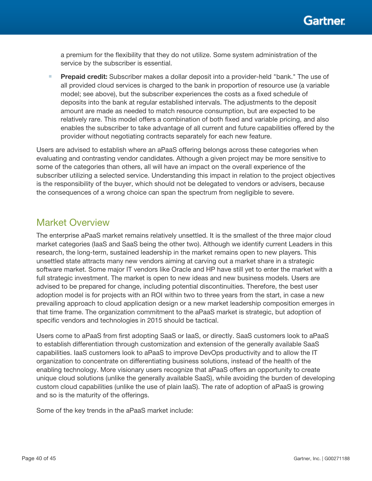a premium for the flexibility that they do not utilize. Some system administration of the service by the subscriber is essential.

**Prepaid credit:** Subscriber makes a dollar deposit into a provider-held "bank." The use of all provided cloud services is charged to the bank in proportion of resource use (a variable model; see above), but the subscriber experiences the costs as a fixed schedule of deposits into the bank at regular established intervals. The adjustments to the deposit amount are made as needed to match resource consumption, but are expected to be relatively rare. This model offers a combination of both fixed and variable pricing, and also enables the subscriber to take advantage of all current and future capabilities offered by the provider without negotiating contracts separately for each new feature.

Users are advised to establish where an aPaaS offering belongs across these categories when evaluating and contrasting vendor candidates. Although a given project may be more sensitive to some of the categories than others, all will have an impact on the overall experience of the subscriber utilizing a selected service. Understanding this impact in relation to the project objectives is the responsibility of the buyer, which should not be delegated to vendors or advisers, because the consequences of a wrong choice can span the spectrum from negligible to severe.

# Market Overview

The enterprise aPaaS market remains relatively unsettled. It is the smallest of the three major cloud market categories (IaaS and SaaS being the other two). Although we identify current Leaders in this research, the long-term, sustained leadership in the market remains open to new players. This unsettled state attracts many new vendors aiming at carving out a market share in a strategic software market. Some major IT vendors like Oracle and HP have still yet to enter the market with a full strategic investment. The market is open to new ideas and new business models. Users are advised to be prepared for change, including potential discontinuities. Therefore, the best user adoption model is for projects with an ROI within two to three years from the start, in case a new prevailing approach to cloud application design or a new market leadership composition emerges in that time frame. The organization commitment to the aPaaS market is strategic, but adoption of specific vendors and technologies in 2015 should be tactical.

Users come to aPaaS from first adopting SaaS or IaaS, or directly. SaaS customers look to aPaaS to establish differentiation through customization and extension of the generally available SaaS capabilities. IaaS customers look to aPaaS to improve DevOps productivity and to allow the IT organization to concentrate on differentiating business solutions, instead of the health of the enabling technology. More visionary users recognize that aPaaS offers an opportunity to create unique cloud solutions (unlike the generally available SaaS), while avoiding the burden of developing custom cloud capabilities (unlike the use of plain IaaS). The rate of adoption of aPaaS is growing and so is the maturity of the offerings.

Some of the key trends in the aPaaS market include: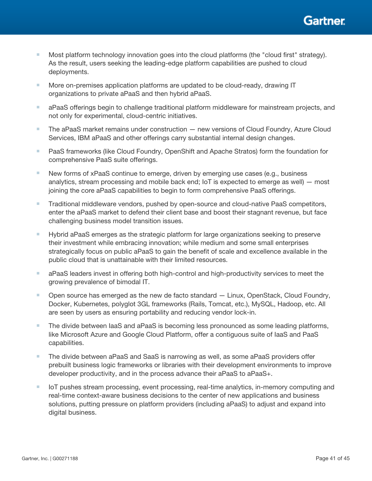

- Most platform technology innovation goes into the cloud platforms (the "cloud first" strategy). As the result, users seeking the leading-edge platform capabilities are pushed to cloud deployments.
- More on-premises application platforms are updated to be cloud-ready, drawing IT organizations to private aPaaS and then hybrid aPaaS.
- aPaaS offerings begin to challenge traditional platform middleware for mainstream projects, and not only for experimental, cloud-centric initiatives.
- The aPaaS market remains under construction new versions of Cloud Foundry, Azure Cloud Services, IBM aPaaS and other offerings carry substantial internal design changes.
- PaaS frameworks (like Cloud Foundry, OpenShift and Apache Stratos) form the foundation for comprehensive PaaS suite offerings.
- New forms of xPaaS continue to emerge, driven by emerging use cases (e.g., business analytics, stream processing and mobile back end; IoT is expected to emerge as well) — most joining the core aPaaS capabilities to begin to form comprehensive PaaS offerings.
- Traditional middleware vendors, pushed by open-source and cloud-native PaaS competitors, enter the aPaaS market to defend their client base and boost their stagnant revenue, but face challenging business model transition issues.
- Hybrid aPaaS emerges as the strategic platform for large organizations seeking to preserve their investment while embracing innovation; while medium and some small enterprises strategically focus on public aPaaS to gain the benefit of scale and excellence available in the public cloud that is unattainable with their limited resources.
- aPaaS leaders invest in offering both high-control and high-productivity services to meet the growing prevalence of bimodal IT.
- Open source has emerged as the new de facto standard Linux, OpenStack, Cloud Foundry, Docker, Kubernetes, polyglot 3GL frameworks (Rails, Tomcat, etc.), MySQL, Hadoop, etc. All are seen by users as ensuring portability and reducing vendor lock-in.
- The divide between laaS and aPaaS is becoming less pronounced as some leading platforms, like Microsoft Azure and Google Cloud Platform, offer a contiguous suite of IaaS and PaaS capabilities.
- The divide between aPaaS and SaaS is narrowing as well, as some aPaaS providers offer prebuilt business logic frameworks or libraries with their development environments to improve developer productivity, and in the process advance their aPaaS to aPaaS+.
- IoT pushes stream processing, event processing, real-time analytics, in-memory computing and real-time context-aware business decisions to the center of new applications and business solutions, putting pressure on platform providers (including aPaaS) to adjust and expand into digital business.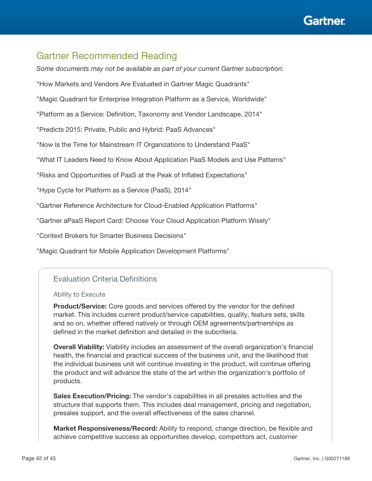

# Gartner Recommended Reading

*Some documents may not be available as part of your current Gartner subscription.*

"How Markets and Vendors Are Evaluated in Gartner Magic Quadrants"

"Magic Quadrant for Enterprise Integration Platform as a Service, Worldwide"

"Platform as a Service: Definition, Taxonomy and Vendor Landscape, 2014"

"Predicts 2015: Private, Public and Hybrid: PaaS Advances"

"Now Is the Time for Mainstream IT Organizations to Understand PaaS"

"What IT Leaders Need to Know About Application PaaS Models and Use Patterns"

"Risks and Opportunities of PaaS at the Peak of Inflated Expectations"

"Hype Cycle for Platform as a Service (PaaS), 2014"

"Gartner Reference Architecture for Cloud-Enabled Application Platforms"

"Gartner aPaaS Report Card: Choose Your Cloud Application Platform Wisely"

"Context Brokers for Smarter Business Decisions"

"Magic Quadrant for Mobile Application Development Platforms"

## Evaluation Criteria Definitions

Ability to Execute

Product/Service: Core goods and services offered by the vendor for the defined market. This includes current product/service capabilities, quality, feature sets, skills and so on, whether offered natively or through OEM agreements/partnerships as defined in the market definition and detailed in the subcriteria.

Overall Viability: Viability includes an assessment of the overall organization's financial health, the financial and practical success of the business unit, and the likelihood that the individual business unit will continue investing in the product, will continue offering the product and will advance the state of the art within the organization's portfolio of products.

Sales Execution/Pricing: The vendor's capabilities in all presales activities and the structure that supports them. This includes deal management, pricing and negotiation, presales support, and the overall effectiveness of the sales channel.

Market Responsiveness/Record: Ability to respond, change direction, be flexible and achieve competitive success as opportunities develop, competitors act, customer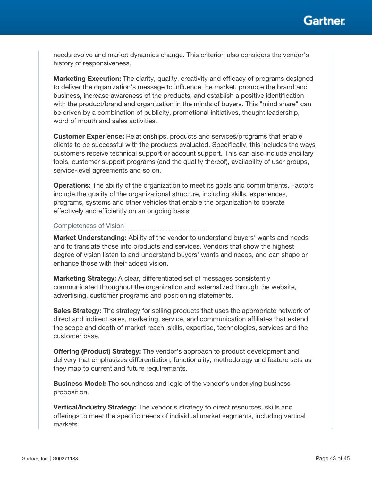

needs evolve and market dynamics change. This criterion also considers the vendor's history of responsiveness.

**Marketing Execution:** The clarity, quality, creativity and efficacy of programs designed to deliver the organization's message to influence the market, promote the brand and business, increase awareness of the products, and establish a positive identification with the product/brand and organization in the minds of buyers. This "mind share" can be driven by a combination of publicity, promotional initiatives, thought leadership, word of mouth and sales activities.

Customer Experience: Relationships, products and services/programs that enable clients to be successful with the products evaluated. Specifically, this includes the ways customers receive technical support or account support. This can also include ancillary tools, customer support programs (and the quality thereof), availability of user groups, service-level agreements and so on.

**Operations:** The ability of the organization to meet its goals and commitments. Factors include the quality of the organizational structure, including skills, experiences, programs, systems and other vehicles that enable the organization to operate effectively and efficiently on an ongoing basis.

#### Completeness of Vision

Market Understanding: Ability of the vendor to understand buyers' wants and needs and to translate those into products and services. Vendors that show the highest degree of vision listen to and understand buyers' wants and needs, and can shape or enhance those with their added vision.

Marketing Strategy: A clear, differentiated set of messages consistently communicated throughout the organization and externalized through the website, advertising, customer programs and positioning statements.

Sales Strategy: The strategy for selling products that uses the appropriate network of direct and indirect sales, marketing, service, and communication affiliates that extend the scope and depth of market reach, skills, expertise, technologies, services and the customer base.

Offering (Product) Strategy: The vendor's approach to product development and delivery that emphasizes differentiation, functionality, methodology and feature sets as they map to current and future requirements.

Business Model: The soundness and logic of the vendor's underlying business proposition.

Vertical/Industry Strategy: The vendor's strategy to direct resources, skills and offerings to meet the specific needs of individual market segments, including vertical markets.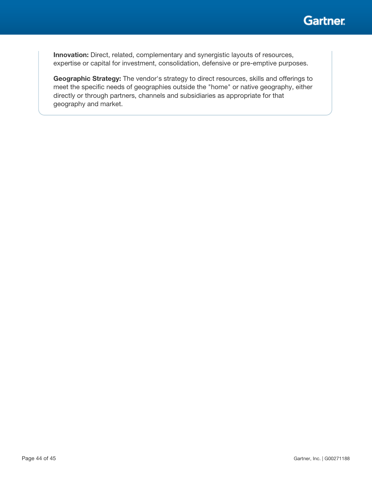

Innovation: Direct, related, complementary and synergistic layouts of resources, expertise or capital for investment, consolidation, defensive or pre-emptive purposes.

Geographic Strategy: The vendor's strategy to direct resources, skills and offerings to meet the specific needs of geographies outside the "home" or native geography, either directly or through partners, channels and subsidiaries as appropriate for that geography and market.